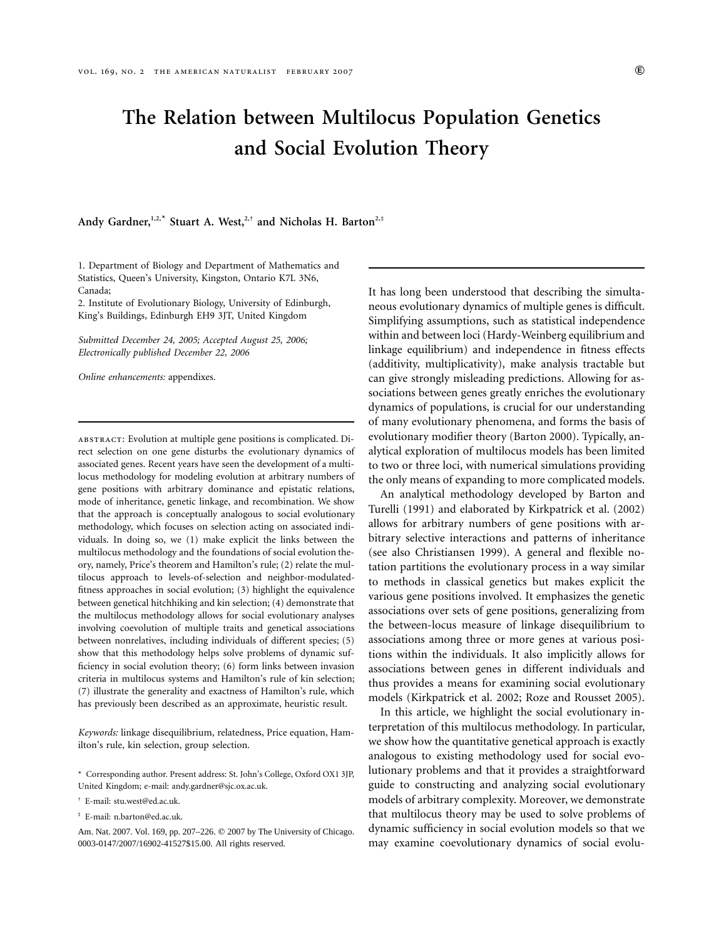# **The Relation between Multilocus Population Genetics and Social Evolution Theory**

**Andy Gardner,1,2,**\* **Stuart A. West,2,**† **and Nicholas H. Barton2,**‡

1. Department of Biology and Department of Mathematics and Statistics, Queen's University, Kingston, Ontario K7L 3N6, Canada;

2. Institute of Evolutionary Biology, University of Edinburgh, King's Buildings, Edinburgh EH9 3JT, United Kingdom

*Submitted December 24, 2005; Accepted August 25, 2006; Electronically published December 22, 2006*

*Online enhancements:* appendixes.

abstract: Evolution at multiple gene positions is complicated. Direct selection on one gene disturbs the evolutionary dynamics of associated genes. Recent years have seen the development of a multilocus methodology for modeling evolution at arbitrary numbers of gene positions with arbitrary dominance and epistatic relations, mode of inheritance, genetic linkage, and recombination. We show that the approach is conceptually analogous to social evolutionary methodology, which focuses on selection acting on associated individuals. In doing so, we (1) make explicit the links between the multilocus methodology and the foundations of social evolution theory, namely, Price's theorem and Hamilton's rule; (2) relate the multilocus approach to levels-of-selection and neighbor-modulatedfitness approaches in social evolution; (3) highlight the equivalence between genetical hitchhiking and kin selection; (4) demonstrate that the multilocus methodology allows for social evolutionary analyses involving coevolution of multiple traits and genetical associations between nonrelatives, including individuals of different species; (5) show that this methodology helps solve problems of dynamic sufficiency in social evolution theory; (6) form links between invasion criteria in multilocus systems and Hamilton's rule of kin selection; (7) illustrate the generality and exactness of Hamilton's rule, which has previously been described as an approximate, heuristic result.

*Keywords:* linkage disequilibrium, relatedness, Price equation, Hamilton's rule, kin selection, group selection.

It has long been understood that describing the simultaneous evolutionary dynamics of multiple genes is difficult. Simplifying assumptions, such as statistical independence within and between loci (Hardy-Weinberg equilibrium and linkage equilibrium) and independence in fitness effects (additivity, multiplicativity), make analysis tractable but can give strongly misleading predictions. Allowing for associations between genes greatly enriches the evolutionary dynamics of populations, is crucial for our understanding of many evolutionary phenomena, and forms the basis of evolutionary modifier theory (Barton 2000). Typically, analytical exploration of multilocus models has been limited to two or three loci, with numerical simulations providing the only means of expanding to more complicated models.

An analytical methodology developed by Barton and Turelli (1991) and elaborated by Kirkpatrick et al. (2002) allows for arbitrary numbers of gene positions with arbitrary selective interactions and patterns of inheritance (see also Christiansen 1999). A general and flexible notation partitions the evolutionary process in a way similar to methods in classical genetics but makes explicit the various gene positions involved. It emphasizes the genetic associations over sets of gene positions, generalizing from the between-locus measure of linkage disequilibrium to associations among three or more genes at various positions within the individuals. It also implicitly allows for associations between genes in different individuals and thus provides a means for examining social evolutionary models (Kirkpatrick et al. 2002; Roze and Rousset 2005).

In this article, we highlight the social evolutionary interpretation of this multilocus methodology. In particular, we show how the quantitative genetical approach is exactly analogous to existing methodology used for social evolutionary problems and that it provides a straightforward guide to constructing and analyzing social evolutionary models of arbitrary complexity. Moreover, we demonstrate that multilocus theory may be used to solve problems of dynamic sufficiency in social evolution models so that we may examine coevolutionary dynamics of social evolu-

<sup>\*</sup> Corresponding author. Present address: St. John's College, Oxford OX1 3JP, United Kingdom; e-mail: andy.gardner@sjc.ox.ac.uk.

<sup>†</sup> E-mail: stu.west@ed.ac.uk.

<sup>‡</sup> E-mail: n.barton@ed.ac.uk.

Am. Nat. 2007. Vol. 169, pp. 207-226. © 2007 by The University of Chicago. 0003-0147/2007/16902-41527\$15.00. All rights reserved.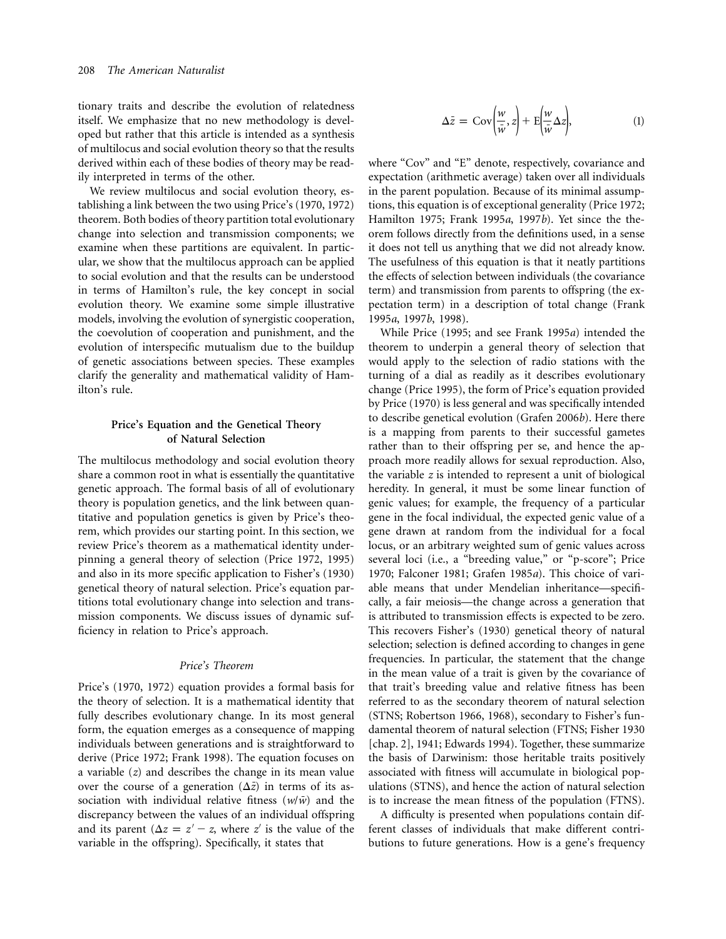tionary traits and describe the evolution of relatedness itself. We emphasize that no new methodology is developed but rather that this article is intended as a synthesis of multilocus and social evolution theory so that the results derived within each of these bodies of theory may be readily interpreted in terms of the other.

We review multilocus and social evolution theory, establishing a link between the two using Price's (1970, 1972) theorem. Both bodies of theory partition total evolutionary change into selection and transmission components; we examine when these partitions are equivalent. In particular, we show that the multilocus approach can be applied to social evolution and that the results can be understood in terms of Hamilton's rule, the key concept in social evolution theory. We examine some simple illustrative models, involving the evolution of synergistic cooperation, the coevolution of cooperation and punishment, and the evolution of interspecific mutualism due to the buildup of genetic associations between species. These examples clarify the generality and mathematical validity of Hamilton's rule.

# **Price's Equation and the Genetical Theory of Natural Selection**

The multilocus methodology and social evolution theory share a common root in what is essentially the quantitative genetic approach. The formal basis of all of evolutionary theory is population genetics, and the link between quantitative and population genetics is given by Price's theorem, which provides our starting point. In this section, we review Price's theorem as a mathematical identity underpinning a general theory of selection (Price 1972, 1995) and also in its more specific application to Fisher's (1930) genetical theory of natural selection. Price's equation partitions total evolutionary change into selection and transmission components. We discuss issues of dynamic sufficiency in relation to Price's approach.

# *Price's Theorem*

Price's (1970, 1972) equation provides a formal basis for the theory of selection. It is a mathematical identity that fully describes evolutionary change. In its most general form, the equation emerges as a consequence of mapping individuals between generations and is straightforward to derive (Price 1972; Frank 1998). The equation focuses on a variable (*z*) and describes the change in its mean value over the course of a generation  $(\Delta \bar{z})$  in terms of its association with individual relative fitness  $(w/\bar{w})$  and the discrepancy between the values of an individual offspring and its parent  $(\Delta z = z' - z$ , where z' is the value of the variable in the offspring). Specifically, it states that

$$
\Delta \bar{z} = \text{Cov}\left(\frac{w}{\bar{w}}, z\right) + \text{E}\left(\frac{w}{\bar{w}}\Delta z\right),\tag{1}
$$

where "Cov" and "E" denote, respectively, covariance and expectation (arithmetic average) taken over all individuals in the parent population. Because of its minimal assumptions, this equation is of exceptional generality (Price 1972; Hamilton 1975; Frank 1995*a*, 1997*b*). Yet since the theorem follows directly from the definitions used, in a sense it does not tell us anything that we did not already know. The usefulness of this equation is that it neatly partitions the effects of selection between individuals (the covariance term) and transmission from parents to offspring (the expectation term) in a description of total change (Frank 1995*a*, 1997*b*, 1998).

While Price (1995; and see Frank 1995*a*) intended the theorem to underpin a general theory of selection that would apply to the selection of radio stations with the turning of a dial as readily as it describes evolutionary change (Price 1995), the form of Price's equation provided by Price (1970) is less general and was specifically intended to describe genetical evolution (Grafen 2006*b*). Here there is a mapping from parents to their successful gametes rather than to their offspring per se, and hence the approach more readily allows for sexual reproduction. Also, the variable *z* is intended to represent a unit of biological heredity. In general, it must be some linear function of genic values; for example, the frequency of a particular gene in the focal individual, the expected genic value of a gene drawn at random from the individual for a focal locus, or an arbitrary weighted sum of genic values across several loci (i.e., a "breeding value," or "p-score"; Price 1970; Falconer 1981; Grafen 1985*a*). This choice of variable means that under Mendelian inheritance—specifically, a fair meiosis—the change across a generation that is attributed to transmission effects is expected to be zero. This recovers Fisher's (1930) genetical theory of natural selection; selection is defined according to changes in gene frequencies. In particular, the statement that the change in the mean value of a trait is given by the covariance of that trait's breeding value and relative fitness has been referred to as the secondary theorem of natural selection (STNS; Robertson 1966, 1968), secondary to Fisher's fundamental theorem of natural selection (FTNS; Fisher 1930 [chap. 2], 1941; Edwards 1994). Together, these summarize the basis of Darwinism: those heritable traits positively associated with fitness will accumulate in biological populations (STNS), and hence the action of natural selection is to increase the mean fitness of the population (FTNS).

A difficulty is presented when populations contain different classes of individuals that make different contributions to future generations. How is a gene's frequency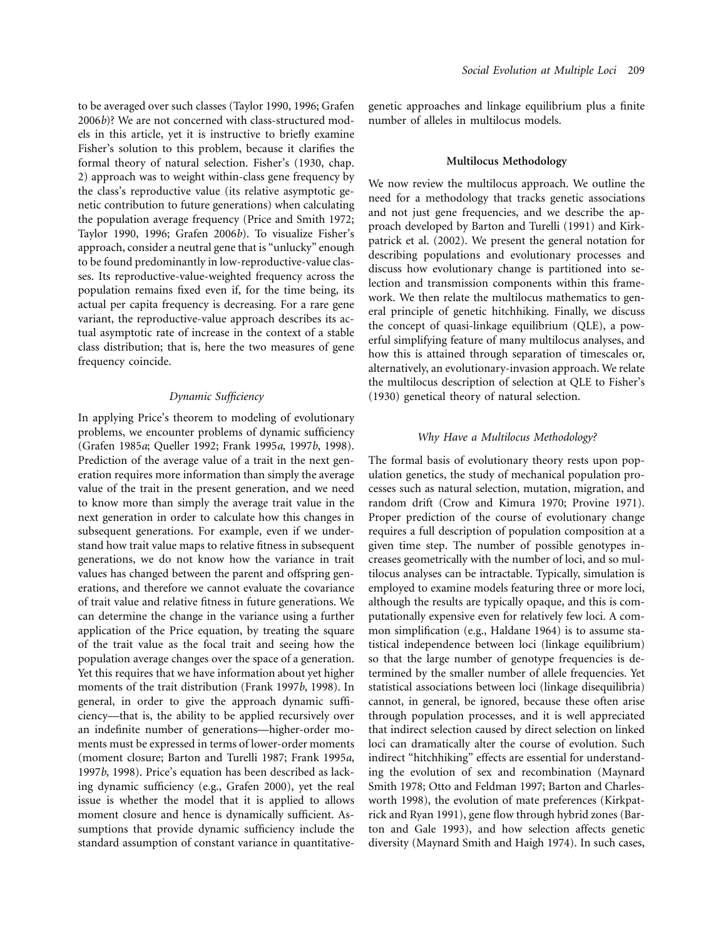to be averaged over such classes (Taylor 1990, 1996; Grafen 2006*b*)? We are not concerned with class-structured models in this article, yet it is instructive to briefly examine Fisher's solution to this problem, because it clarifies the formal theory of natural selection. Fisher's (1930, chap. 2) approach was to weight within-class gene frequency by the class's reproductive value (its relative asymptotic genetic contribution to future generations) when calculating the population average frequency (Price and Smith 1972; Taylor 1990, 1996; Grafen 2006*b*). To visualize Fisher's approach, consider a neutral gene that is "unlucky" enough to be found predominantly in low-reproductive-value classes. Its reproductive-value-weighted frequency across the population remains fixed even if, for the time being, its actual per capita frequency is decreasing. For a rare gene variant, the reproductive-value approach describes its actual asymptotic rate of increase in the context of a stable class distribution; that is, here the two measures of gene frequency coincide.

# *Dynamic Sufficiency*

In applying Price's theorem to modeling of evolutionary problems, we encounter problems of dynamic sufficiency (Grafen 1985*a*; Queller 1992; Frank 1995*a*, 1997*b*, 1998). Prediction of the average value of a trait in the next generation requires more information than simply the average value of the trait in the present generation, and we need to know more than simply the average trait value in the next generation in order to calculate how this changes in subsequent generations. For example, even if we understand how trait value maps to relative fitness in subsequent generations, we do not know how the variance in trait values has changed between the parent and offspring generations, and therefore we cannot evaluate the covariance of trait value and relative fitness in future generations. We can determine the change in the variance using a further application of the Price equation, by treating the square of the trait value as the focal trait and seeing how the population average changes over the space of a generation. Yet this requires that we have information about yet higher moments of the trait distribution (Frank 1997*b*, 1998). In general, in order to give the approach dynamic sufficiency—that is, the ability to be applied recursively over an indefinite number of generations—higher-order moments must be expressed in terms of lower-order moments (moment closure; Barton and Turelli 1987; Frank 1995*a*, 1997*b*, 1998). Price's equation has been described as lacking dynamic sufficiency (e.g., Grafen 2000), yet the real issue is whether the model that it is applied to allows moment closure and hence is dynamically sufficient. Assumptions that provide dynamic sufficiency include the standard assumption of constant variance in quantitativegenetic approaches and linkage equilibrium plus a finite number of alleles in multilocus models.

# **Multilocus Methodology**

We now review the multilocus approach. We outline the need for a methodology that tracks genetic associations and not just gene frequencies, and we describe the approach developed by Barton and Turelli (1991) and Kirkpatrick et al. (2002). We present the general notation for describing populations and evolutionary processes and discuss how evolutionary change is partitioned into selection and transmission components within this framework. We then relate the multilocus mathematics to general principle of genetic hitchhiking. Finally, we discuss the concept of quasi-linkage equilibrium (QLE), a powerful simplifying feature of many multilocus analyses, and how this is attained through separation of timescales or, alternatively, an evolutionary-invasion approach. We relate the multilocus description of selection at QLE to Fisher's (1930) genetical theory of natural selection.

# *Why Have a Multilocus Methodology?*

The formal basis of evolutionary theory rests upon population genetics, the study of mechanical population processes such as natural selection, mutation, migration, and random drift (Crow and Kimura 1970; Provine 1971). Proper prediction of the course of evolutionary change requires a full description of population composition at a given time step. The number of possible genotypes increases geometrically with the number of loci, and so multilocus analyses can be intractable. Typically, simulation is employed to examine models featuring three or more loci, although the results are typically opaque, and this is computationally expensive even for relatively few loci. A common simplification (e.g., Haldane 1964) is to assume statistical independence between loci (linkage equilibrium) so that the large number of genotype frequencies is determined by the smaller number of allele frequencies. Yet statistical associations between loci (linkage disequilibria) cannot, in general, be ignored, because these often arise through population processes, and it is well appreciated that indirect selection caused by direct selection on linked loci can dramatically alter the course of evolution. Such indirect "hitchhiking" effects are essential for understanding the evolution of sex and recombination (Maynard Smith 1978; Otto and Feldman 1997; Barton and Charlesworth 1998), the evolution of mate preferences (Kirkpatrick and Ryan 1991), gene flow through hybrid zones (Barton and Gale 1993), and how selection affects genetic diversity (Maynard Smith and Haigh 1974). In such cases,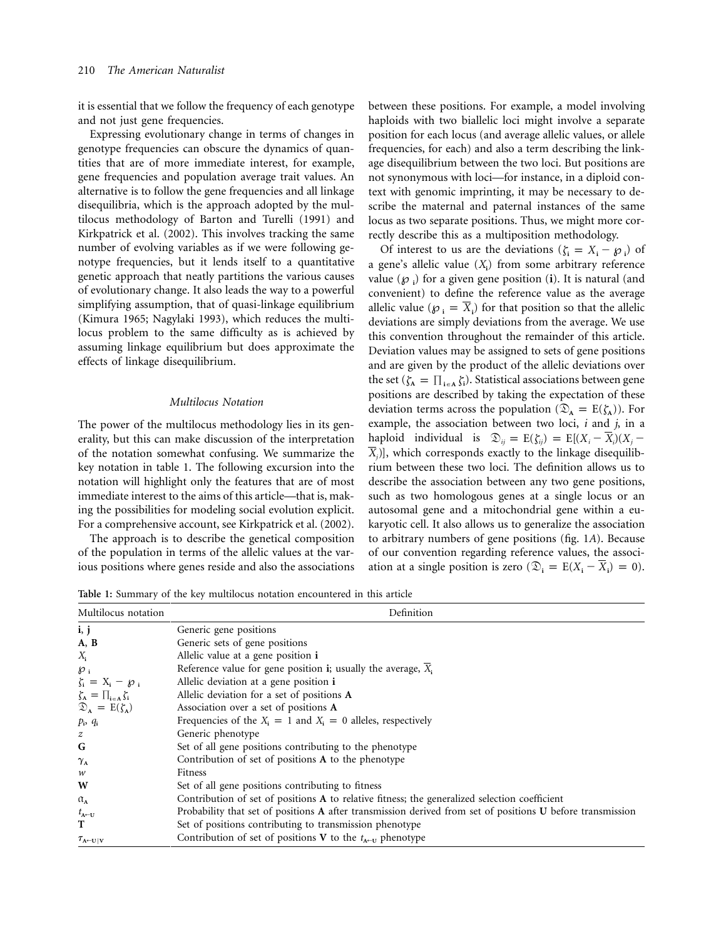it is essential that we follow the frequency of each genotype and not just gene frequencies.

Expressing evolutionary change in terms of changes in genotype frequencies can obscure the dynamics of quantities that are of more immediate interest, for example, gene frequencies and population average trait values. An alternative is to follow the gene frequencies and all linkage disequilibria, which is the approach adopted by the multilocus methodology of Barton and Turelli (1991) and Kirkpatrick et al. (2002). This involves tracking the same number of evolving variables as if we were following genotype frequencies, but it lends itself to a quantitative genetic approach that neatly partitions the various causes of evolutionary change. It also leads the way to a powerful simplifying assumption, that of quasi-linkage equilibrium (Kimura 1965; Nagylaki 1993), which reduces the multilocus problem to the same difficulty as is achieved by assuming linkage equilibrium but does approximate the effects of linkage disequilibrium.

# *Multilocus Notation*

The power of the multilocus methodology lies in its generality, but this can make discussion of the interpretation of the notation somewhat confusing. We summarize the key notation in table 1. The following excursion into the notation will highlight only the features that are of most immediate interest to the aims of this article—that is, making the possibilities for modeling social evolution explicit. For a comprehensive account, see Kirkpatrick et al. (2002).

The approach is to describe the genetical composition of the population in terms of the allelic values at the various positions where genes reside and also the associations

between these positions. For example, a model involving haploids with two biallelic loci might involve a separate position for each locus (and average allelic values, or allele frequencies, for each) and also a term describing the linkage disequilibrium between the two loci. But positions are not synonymous with loci—for instance, in a diploid context with genomic imprinting, it may be necessary to describe the maternal and paternal instances of the same locus as two separate positions. Thus, we might more correctly describe this as a multiposition methodology.

Of interest to us are the deviations ( $\zeta_i = X_i - \varphi_i$ ) of a gene's allelic value (*X***<sup>i</sup>** ) from some arbitrary reference value (℘**<sup>i</sup>** ) for a given gene position (**i**). It is natural (and convenient) to define the reference value as the average allelic value ( $\varphi_i = \overline{X_i}$ ) for that position so that the allelic deviations are simply deviations from the average. We use this convention throughout the remainder of this article. Deviation values may be assigned to sets of gene positions and are given by the product of the allelic deviations over the set  $(\zeta_A = \prod_{i \in A} \zeta_i)$ . Statistical associations between gene positions are described by taking the expectation of these deviation terms across the population ( $\mathcal{D}_A = E(\zeta_A)$ ). For example, the association between two loci, *i* and *j*, in a haploid individual is  $\mathfrak{D}_{ij} = E(\zeta_{ij}) = E[(X_i - \overline{X}_i)(X_j - \overline{X}_i)]$  $X_i$ ), which corresponds exactly to the linkage disequilibrium between these two loci. The definition allows us to describe the association between any two gene positions, such as two homologous genes at a single locus or an autosomal gene and a mitochondrial gene within a eukaryotic cell. It also allows us to generalize the association to arbitrary numbers of gene positions (fig. 1*A*). Because of our convention regarding reference values, the association at a single position is zero  $(\mathfrak{D}_i = E(X_i - \overline{X}_i) = 0)$ .

**Table 1:** Summary of the key multilocus notation encountered in this article

| Multilocus notation                       | Definition                                                                                                 |
|-------------------------------------------|------------------------------------------------------------------------------------------------------------|
| i, j                                      | Generic gene positions                                                                                     |
| A, B                                      | Generic sets of gene positions                                                                             |
| $X_i$                                     | Allelic value at a gene position i                                                                         |
| $\mathcal{O}_1$                           | Reference value for gene position i; usually the average, $\overline{X}_i$                                 |
| $\zeta_i = X_i - \varnothing_i$           | Allelic deviation at a gene position i                                                                     |
| $\zeta_{\rm A} = \prod_{i \in A} \zeta_i$ | Allelic deviation for a set of positions A                                                                 |
| $\mathcal{D}_A = E(\zeta_A)$              | Association over a set of positions A                                                                      |
| $p_i$ , $q_i$                             | Frequencies of the $X_i = 1$ and $X_i = 0$ alleles, respectively                                           |
| $\boldsymbol{z}$                          | Generic phenotype                                                                                          |
| G                                         | Set of all gene positions contributing to the phenotype                                                    |
| $\gamma_{\rm A}$                          | Contribution of set of positions A to the phenotype                                                        |
| w                                         | Fitness                                                                                                    |
| W                                         | Set of all gene positions contributing to fitness                                                          |
| $\alpha_{\rm A}$                          | Contribution of set of positions A to relative fitness; the generalized selection coefficient              |
| $t_{A\leftarrow U}$                       | Probability that set of positions A after transmission derived from set of positions U before transmission |
| Т                                         | Set of positions contributing to transmission phenotype                                                    |
| $\tau_{A\leftarrow U V}$                  | Contribution of set of positions V to the $t_{A\leftarrow U}$ phenotype                                    |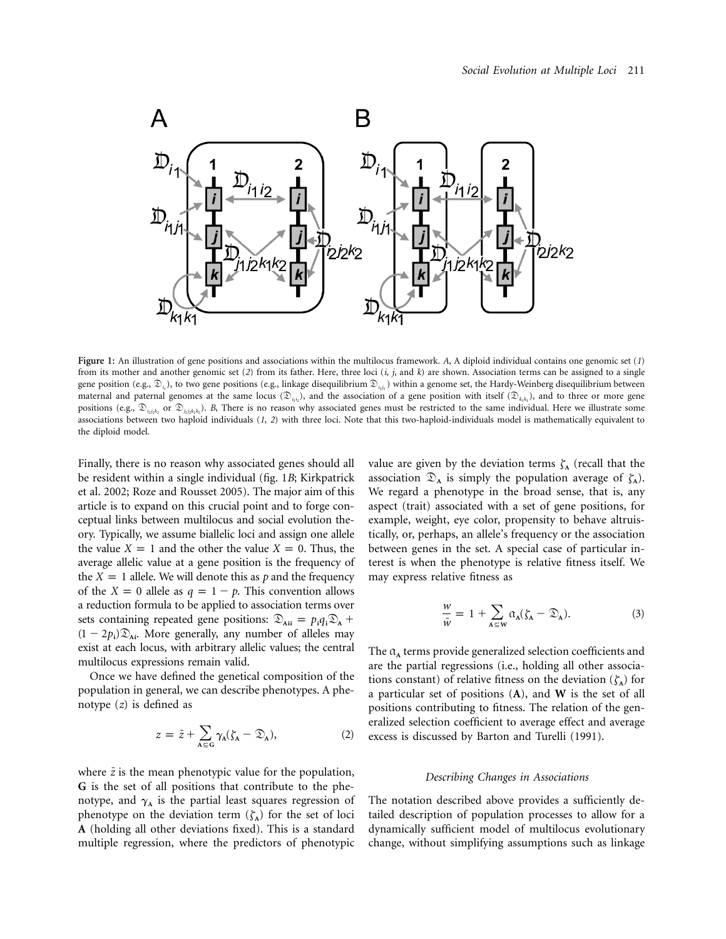

**Figure 1:** An illustration of gene positions and associations within the multilocus framework. *A*, A diploid individual contains one genomic set (*1*) from its mother and another genomic set (*2*) from its father. Here, three loci (*i*, *j*, and *k*) are shown. Association terms can be assigned to a single gene position (e.g.,  $\mathfrak{D}_{i}$ ), to two gene positions (e.g., linkage disequilibrium  $\mathfrak{D}_{i}$ ) within a genome set, the Hardy-Weinberg disequilibrium between maternal and paternal genomes at the same locus ( $\mathcal{D}_{i_1 i_2}$ ), and the association of a gene position with itself ( $\mathcal{D}_{k_1 k_1}$ ), and to three or more gene positions (e.g.,  $\mathcal{D}_{i_{j}}$  or  $\mathcal{D}_{i_{j}}$ *kk<sub>b</sub>*). *B*, There is no reason why associated genes must be restricted to the same individual. Here we illustrate some associations between two haploid individuals (*1*, *2*) with three loci. Note that this two-haploid-individuals model is mathematically equivalent to the diploid model.

Finally, there is no reason why associated genes should all be resident within a single individual (fig. 1*B*; Kirkpatrick et al. 2002; Roze and Rousset 2005). The major aim of this article is to expand on this crucial point and to forge conceptual links between multilocus and social evolution theory. Typically, we assume biallelic loci and assign one allele the value  $X = 1$  and the other the value  $X = 0$ . Thus, the average allelic value at a gene position is the frequency of the  $X = 1$  allele. We will denote this as *p* and the frequency of the  $X = 0$  allele as  $q = 1 - p$ . This convention allows a reduction formula to be applied to association terms over sets containing repeated gene positions:  $\mathcal{D}_{\text{Aii}} = p_i q_i \mathcal{D}_{\text{A}} +$  $(1 - 2p_i)\mathfrak{D}_{Ai}$ . More generally, any number of alleles may exist at each locus, with arbitrary allelic values; the central multilocus expressions remain valid.

Once we have defined the genetical composition of the population in general, we can describe phenotypes. A phenotype (*z*) is defined as

$$
z = \bar{z} + \sum_{A \subseteq G} \gamma_A (\zeta_A - \mathfrak{D}_A), \tag{2}
$$

where  $\bar{z}$  is the mean phenotypic value for the population, **G** is the set of all positions that contribute to the phenotype, and  $\gamma_A$  is the partial least squares regression of phenotype on the deviation term  $(\zeta_A)$  for the set of loci **A** (holding all other deviations fixed). This is a standard multiple regression, where the predictors of phenotypic

value are given by the deviation terms  $\zeta_A$  (recall that the association  $\mathcal{D}_A$  is simply the population average of  $\zeta_A$ ). We regard a phenotype in the broad sense, that is, any aspect (trait) associated with a set of gene positions, for example, weight, eye color, propensity to behave altruistically, or, perhaps, an allele's frequency or the association between genes in the set. A special case of particular interest is when the phenotype is relative fitness itself. We may express relative fitness as

$$
\frac{w}{\bar{w}} = 1 + \sum_{A \subseteq W} \alpha_A (\zeta_A - \mathfrak{D}_A). \tag{3}
$$

The  $\alpha_A$  terms provide generalized selection coefficients and are the partial regressions (i.e., holding all other associations constant) of relative fitness on the deviation  $(\zeta_A)$  for a particular set of positions (**A**), and **W** is the set of all positions contributing to fitness. The relation of the generalized selection coefficient to average effect and average excess is discussed by Barton and Turelli (1991).

# *Describing Changes in Associations*

The notation described above provides a sufficiently detailed description of population processes to allow for a dynamically sufficient model of multilocus evolutionary change, without simplifying assumptions such as linkage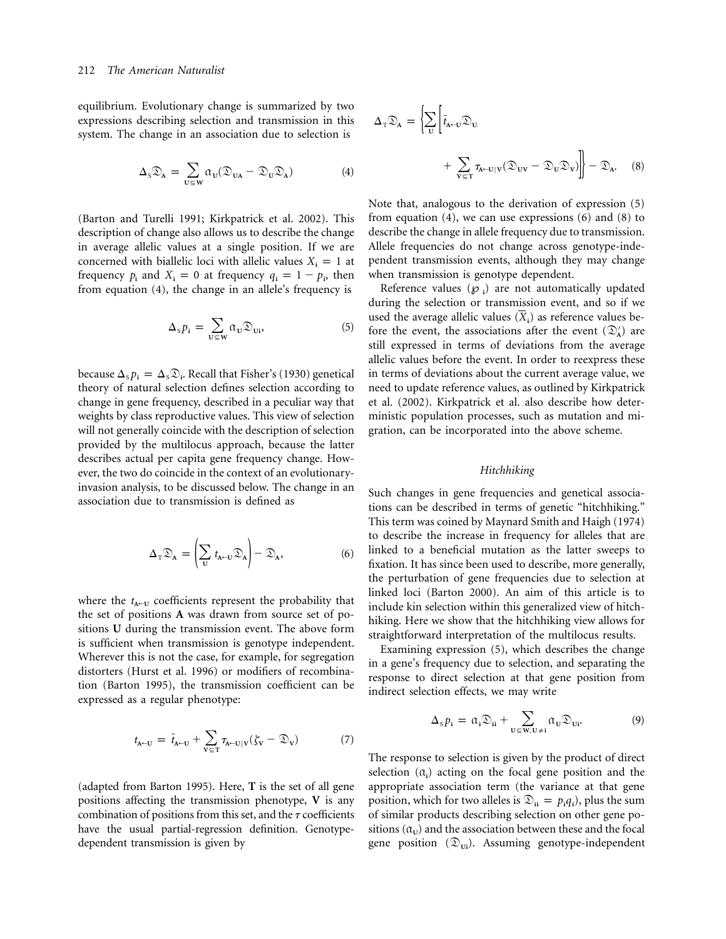equilibrium. Evolutionary change is summarized by two expressions describing selection and transmission in this system. The change in an association due to selection is

$$
\Delta_{\mathcal{S}} \mathfrak{D}_{\mathbf{A}} = \sum_{\mathbf{U} \in \mathbf{W}} \alpha_{\mathbf{U}} (\mathfrak{D}_{\mathbf{U}\mathbf{A}} - \mathfrak{D}_{\mathbf{U}} \mathfrak{D}_{\mathbf{A}})
$$
(4)

(Barton and Turelli 1991; Kirkpatrick et al. 2002). This description of change also allows us to describe the change in average allelic values at a single position. If we are concerned with biallelic loci with allelic values  $X_i = 1$  at frequency  $p_i$  and  $X_i = 0$  at frequency  $q_i = 1 - p_i$ , then from equation (4), the change in an allele's frequency is

$$
\Delta_{\rm s} p_{\rm i} = \sum_{\rm U \subseteq W} \alpha_{\rm U} \mathfrak{D}_{\rm Ui},\tag{5}
$$

because  $\Delta_s p_i = \Delta_s \mathfrak{D}_i$ . Recall that Fisher's (1930) genetical theory of natural selection defines selection according to change in gene frequency, described in a peculiar way that weights by class reproductive values. This view of selection will not generally coincide with the description of selection provided by the multilocus approach, because the latter describes actual per capita gene frequency change. However, the two do coincide in the context of an evolutionaryinvasion analysis, to be discussed below. The change in an association due to transmission is defined as

$$
\Delta_{\mathrm{T}}\mathfrak{D}_{\mathrm{A}} = \left(\sum_{\mathrm{U}} t_{\mathrm{A}\leftarrow\mathrm{U}}\mathfrak{D}_{\mathrm{A}}\right) - \mathfrak{D}_{\mathrm{A}},\tag{6}
$$

where the  $t_{A\leftarrow U}$  coefficients represent the probability that the set of positions **A** was drawn from source set of positions **U** during the transmission event. The above form is sufficient when transmission is genotype independent. Wherever this is not the case, for example, for segregation distorters (Hurst et al. 1996) or modifiers of recombination (Barton 1995), the transmission coefficient can be expressed as a regular phenotype:

$$
t_{A\leftarrow U} = \bar{t}_{A\leftarrow U} + \sum_{V \subseteq T} \tau_{A\leftarrow U|V} (\zeta_V - \mathfrak{D}_V)
$$
 (7)

(adapted from Barton 1995). Here, **T** is the set of all gene positions affecting the transmission phenotype, **V** is any combination of positions from this set, and the  $\tau$  coefficients have the usual partial-regression definition. Genotypedependent transmission is given by

$$
\Delta_{\mathrm{T}} \mathfrak{D}_{\mathrm{A}} = \left\{ \sum_{\mathrm{U}} \left[ \bar{t}_{\mathrm{A} \leftarrow \mathrm{U}} \mathfrak{D}_{\mathrm{U}} + \sum_{\mathrm{V} \subseteq \mathrm{T}} \tau_{\mathrm{A} \leftarrow \mathrm{U} | \mathrm{V}} (\mathfrak{D}_{\mathrm{U} \mathrm{V}} - \mathfrak{D}_{\mathrm{U}} \mathfrak{D}_{\mathrm{V}}) \right] \right\} - \mathfrak{D}_{\mathrm{A}}.
$$
 (8)

Note that, analogous to the derivation of expression (5) from equation  $(4)$ , we can use expressions  $(6)$  and  $(8)$  to describe the change in allele frequency due to transmission. Allele frequencies do not change across genotype-independent transmission events, although they may change when transmission is genotype dependent.

Reference values ( $\varphi$ <sub>i</sub>) are not automatically updated during the selection or transmission event, and so if we used the average allelic values  $(\overline{X}_i)$  as reference values before the event, the associations after the event  $(\mathcal{D}_A)$  are still expressed in terms of deviations from the average allelic values before the event. In order to reexpress these in terms of deviations about the current average value, we need to update reference values, as outlined by Kirkpatrick et al. (2002). Kirkpatrick et al. also describe how deterministic population processes, such as mutation and migration, can be incorporated into the above scheme.

### *Hitchhiking*

Such changes in gene frequencies and genetical associations can be described in terms of genetic "hitchhiking." This term was coined by Maynard Smith and Haigh (1974) to describe the increase in frequency for alleles that are linked to a beneficial mutation as the latter sweeps to fixation. It has since been used to describe, more generally, the perturbation of gene frequencies due to selection at linked loci (Barton 2000). An aim of this article is to include kin selection within this generalized view of hitchhiking. Here we show that the hitchhiking view allows for straightforward interpretation of the multilocus results.

Examining expression (5), which describes the change in a gene's frequency due to selection, and separating the response to direct selection at that gene position from indirect selection effects, we may write

$$
\Delta_{\mathcal{S}} p_{i} = \alpha_{i} \mathfrak{D}_{ii} + \sum_{U \subseteq W, U \neq i} \alpha_{U} \mathfrak{D}_{Ui}.
$$
 (9)

The response to selection is given by the product of direct selection  $(\alpha_i)$  acting on the focal gene position and the appropriate association term (the variance at that gene position, which for two alleles is  $\mathcal{D}_{ii} = p_i q_i$ , plus the sum of similar products describing selection on other gene positions  $(\mathfrak{a}_\mathbf{U})$  and the association between these and the focal gene position  $(\mathfrak{D}_{\text{Ui}})$ . Assuming genotype-independent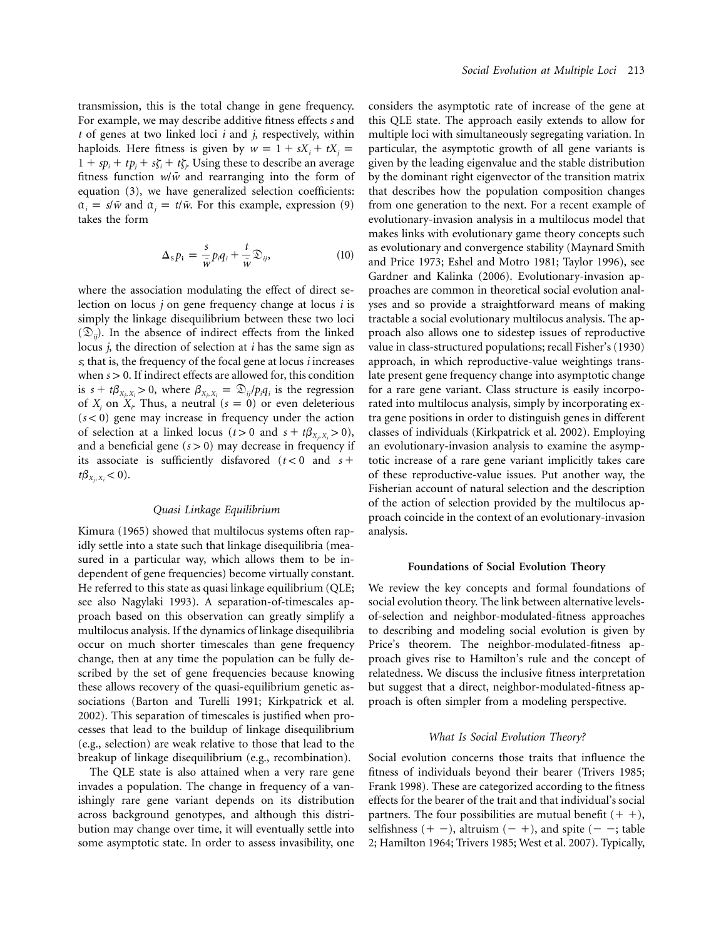transmission, this is the total change in gene frequency. For example, we may describe additive fitness effects *s* and *t* of genes at two linked loci *i* and *j*, respectively, within haploids. Here fitness is given by  $w = 1 + sX_i + tX_j = 1$  $1 + sp_i + tp_j + s\zeta_i + t\zeta_j$ . Using these to describe an average fitness function  $w/\bar{w}$  and rearranging into the form of equation (3), we have generalized selection coefficients:  $\alpha_i = s/\bar{w}$  and  $\alpha_j = t/\bar{w}$ . For this example, expression (9) takes the form

$$
\Delta_{\rm s} p_{\rm i} = \frac{s}{\bar{w}} p_{\rm i} q_{\rm i} + \frac{t}{\bar{w}} \mathfrak{D}_{\rm ij}, \tag{10}
$$

where the association modulating the effect of direct selection on locus *j* on gene frequency change at locus *i* is simply the linkage disequilibrium between these two loci  $(\mathfrak{D}_{ii})$ . In the absence of indirect effects from the linked locus *j*, the direction of selection at *i* has the same sign as *s*; that is, the frequency of the focal gene at locus *i* increases when  $s > 0$ . If indirect effects are allowed for, this condition is  $s + t\beta_{X_j, X_i} > 0$ , where  $\beta_{X_j, X_i} = \mathcal{D}_{ij}/p_i q_i$  is the regression of  $X_j$  on  $X_i$ . Thus, a neutral  $(s = 0)$  or even deleterious  $(s < 0)$  gene may increase in frequency under the action of selection at a linked locus ( $t > 0$  and  $s + t\beta_{X_i, X_i} > 0$ ), and a beneficial gene  $(s > 0)$  may decrease in frequency if its associate is sufficiently disfavored  $(t < 0$  and  $s +$  $t\beta_{X_i, X_i} < 0$ .

# *Quasi Linkage Equilibrium*

Kimura (1965) showed that multilocus systems often rapidly settle into a state such that linkage disequilibria (measured in a particular way, which allows them to be independent of gene frequencies) become virtually constant. He referred to this state as quasi linkage equilibrium (QLE; see also Nagylaki 1993). A separation-of-timescales approach based on this observation can greatly simplify a multilocus analysis. If the dynamics of linkage disequilibria occur on much shorter timescales than gene frequency change, then at any time the population can be fully described by the set of gene frequencies because knowing these allows recovery of the quasi-equilibrium genetic associations (Barton and Turelli 1991; Kirkpatrick et al. 2002). This separation of timescales is justified when processes that lead to the buildup of linkage disequilibrium (e.g., selection) are weak relative to those that lead to the breakup of linkage disequilibrium (e.g., recombination).

The QLE state is also attained when a very rare gene invades a population. The change in frequency of a vanishingly rare gene variant depends on its distribution across background genotypes, and although this distribution may change over time, it will eventually settle into some asymptotic state. In order to assess invasibility, one

considers the asymptotic rate of increase of the gene at this QLE state. The approach easily extends to allow for multiple loci with simultaneously segregating variation. In particular, the asymptotic growth of all gene variants is given by the leading eigenvalue and the stable distribution by the dominant right eigenvector of the transition matrix that describes how the population composition changes from one generation to the next. For a recent example of evolutionary-invasion analysis in a multilocus model that makes links with evolutionary game theory concepts such as evolutionary and convergence stability (Maynard Smith and Price 1973; Eshel and Motro 1981; Taylor 1996), see Gardner and Kalinka (2006). Evolutionary-invasion approaches are common in theoretical social evolution analyses and so provide a straightforward means of making tractable a social evolutionary multilocus analysis. The approach also allows one to sidestep issues of reproductive value in class-structured populations; recall Fisher's (1930) approach, in which reproductive-value weightings translate present gene frequency change into asymptotic change for a rare gene variant. Class structure is easily incorporated into multilocus analysis, simply by incorporating extra gene positions in order to distinguish genes in different classes of individuals (Kirkpatrick et al. 2002). Employing an evolutionary-invasion analysis to examine the asymptotic increase of a rare gene variant implicitly takes care of these reproductive-value issues. Put another way, the Fisherian account of natural selection and the description of the action of selection provided by the multilocus approach coincide in the context of an evolutionary-invasion analysis.

#### **Foundations of Social Evolution Theory**

We review the key concepts and formal foundations of social evolution theory. The link between alternative levelsof-selection and neighbor-modulated-fitness approaches to describing and modeling social evolution is given by Price's theorem. The neighbor-modulated-fitness approach gives rise to Hamilton's rule and the concept of relatedness. We discuss the inclusive fitness interpretation but suggest that a direct, neighbor-modulated-fitness approach is often simpler from a modeling perspective.

#### *What Is Social Evolution Theory?*

Social evolution concerns those traits that influence the fitness of individuals beyond their bearer (Trivers 1985; Frank 1998). These are categorized according to the fitness effects for the bearer of the trait and that individual's social partners. The four possibilities are mutual benefit  $(+ +)$ , selfishness  $(+ -)$ , altruism  $(- +)$ , and spite  $(- -)$ ; table 2; Hamilton 1964; Trivers 1985; West et al. 2007). Typically,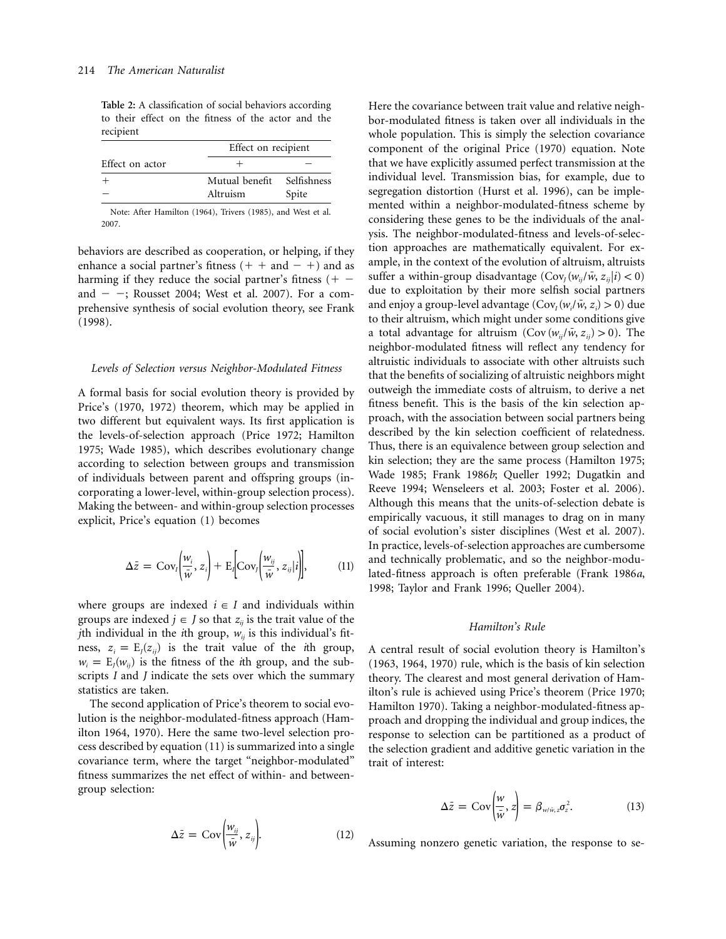**Table 2:** A classification of social behaviors according to their effect on the fitness of the actor and the recipient

|                 |                                                            | Effect on recipient |  |
|-----------------|------------------------------------------------------------|---------------------|--|
| Effect on actor |                                                            |                     |  |
|                 | Mutual benefit                                             | Selfishness         |  |
|                 | Altruism                                                   | Spite               |  |
|                 | Note: After Hamilton (1964) Trivers (1985) and West et al. |                     |  |

Note: After Hamilton (1964), Trivers (1985), and West et al. 2007.

behaviors are described as cooperation, or helping, if they enhance a social partner's fitness  $(+ + and - +)$  and as harming if they reduce the social partner's fitness  $(+$ and  $-$  -; Rousset 2004; West et al. 2007). For a comprehensive synthesis of social evolution theory, see Frank (1998).

#### *Levels of Selection versus Neighbor-Modulated Fitness*

A formal basis for social evolution theory is provided by Price's (1970, 1972) theorem, which may be applied in two different but equivalent ways. Its first application is the levels-of-selection approach (Price 1972; Hamilton 1975; Wade 1985), which describes evolutionary change according to selection between groups and transmission of individuals between parent and offspring groups (incorporating a lower-level, within-group selection process). Making the between- and within-group selection processes explicit, Price's equation (1) becomes

$$
\Delta \bar{z} = \text{Cov}_i \bigg( \frac{w_i}{\bar{w}}, z_i \bigg) + \text{E}_i \bigg[ \text{Cov}_j \bigg( \frac{w_{ij}}{\bar{w}}, z_{ij} | i \bigg) \bigg], \tag{11}
$$

where groups are indexed  $i \in I$  and individuals within groups are indexed  $j \in J$  so that  $z_{ij}$  is the trait value of the *j*th individual in the *i*th group,  $w_{ij}$  is this individual's fitness,  $z_i = E_i(z_i)$  is the trait value of the *i*th group,  $w_i = E_i(w_{ii})$  is the fitness of the *i*th group, and the subscripts *I* and *J* indicate the sets over which the summary statistics are taken.

The second application of Price's theorem to social evolution is the neighbor-modulated-fitness approach (Hamilton 1964, 1970). Here the same two-level selection process described by equation (11) is summarized into a single covariance term, where the target "neighbor-modulated" fitness summarizes the net effect of within- and betweengroup selection:

$$
\Delta \bar{z} = \text{Cov}\bigg(\frac{w_{ij}}{\bar{w}}, z_{ij}\bigg). \tag{12}
$$

Here the covariance between trait value and relative neighbor-modulated fitness is taken over all individuals in the whole population. This is simply the selection covariance component of the original Price (1970) equation. Note that we have explicitly assumed perfect transmission at the individual level. Transmission bias, for example, due to segregation distortion (Hurst et al. 1996), can be implemented within a neighbor-modulated-fitness scheme by considering these genes to be the individuals of the analysis. The neighbor-modulated-fitness and levels-of-selection approaches are mathematically equivalent. For example, in the context of the evolution of altruism, altruists suffer a within-group disadvantage  $(Cov_i(w_i/\bar{w}, z_i|i) < 0)$ due to exploitation by their more selfish social partners and enjoy a group-level advantage  $(Cov_i (w_i / \bar{w}, z_i) > 0)$  due to their altruism, which might under some conditions give a total advantage for altruism  $(Cov (w_{ii}/\bar{w}, z_{ii}) > 0)$ . The neighbor-modulated fitness will reflect any tendency for altruistic individuals to associate with other altruists such that the benefits of socializing of altruistic neighbors might outweigh the immediate costs of altruism, to derive a net fitness benefit. This is the basis of the kin selection approach, with the association between social partners being described by the kin selection coefficient of relatedness. Thus, there is an equivalence between group selection and kin selection; they are the same process (Hamilton 1975; Wade 1985; Frank 1986*b*; Queller 1992; Dugatkin and Reeve 1994; Wenseleers et al. 2003; Foster et al. 2006). Although this means that the units-of-selection debate is empirically vacuous, it still manages to drag on in many of social evolution's sister disciplines (West et al. 2007). In practice, levels-of-selection approaches are cumbersome and technically problematic, and so the neighbor-modulated-fitness approach is often preferable (Frank 1986*a*, 1998; Taylor and Frank 1996; Queller 2004).

#### *Hamilton's Rule*

A central result of social evolution theory is Hamilton's (1963, 1964, 1970) rule, which is the basis of kin selection theory. The clearest and most general derivation of Hamilton's rule is achieved using Price's theorem (Price 1970; Hamilton 1970). Taking a neighbor-modulated-fitness approach and dropping the individual and group indices, the response to selection can be partitioned as a product of the selection gradient and additive genetic variation in the trait of interest:

$$
\Delta \bar{z} = \text{Cov}\left(\frac{w}{\bar{w}}, z\right) = \beta_{w/\bar{w}, z} \sigma_z^2. \tag{13}
$$

Assuming nonzero genetic variation, the response to se-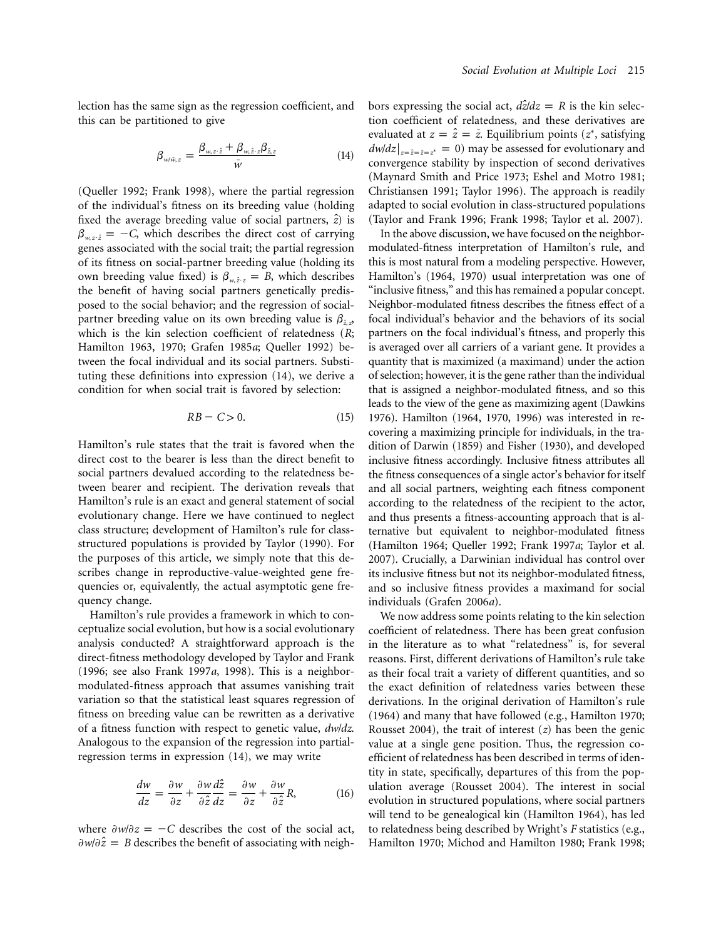lection has the same sign as the regression coefficient, and this can be partitioned to give

$$
\beta_{w/\tilde{w},z} = \frac{\beta_{w,z\cdot\hat{z}} + \beta_{w,\hat{z}\cdot z}\beta_{\hat{z},z}}{\tilde{w}}
$$
(14)

(Queller 1992; Frank 1998), where the partial regression of the individual's fitness on its breeding value (holding fixed the average breeding value of social partners,  $\hat{z}$ *)* is  $\beta_{w,z\hat{z}} = -C$ , which describes the direct cost of carrying genes associated with the social trait; the partial regression of its fitness on social-partner breeding value (holding its own breeding value fixed) is  $\beta_{w\hat{z}z} = B$ , which describes the benefit of having social partners genetically predisposed to the social behavior; and the regression of socialpartner breeding value on its own breeding value is  $\beta_{\hat{z},z}$ which is the kin selection coefficient of relatedness (*R*; Hamilton 1963, 1970; Grafen 1985*a*; Queller 1992) between the focal individual and its social partners. Substituting these definitions into expression (14), we derive a condition for when social trait is favored by selection:

$$
RB - C > 0. \tag{15}
$$

Hamilton's rule states that the trait is favored when the direct cost to the bearer is less than the direct benefit to social partners devalued according to the relatedness between bearer and recipient. The derivation reveals that Hamilton's rule is an exact and general statement of social evolutionary change. Here we have continued to neglect class structure; development of Hamilton's rule for classstructured populations is provided by Taylor (1990). For the purposes of this article, we simply note that this describes change in reproductive-value-weighted gene frequencies or, equivalently, the actual asymptotic gene frequency change.

Hamilton's rule provides a framework in which to conceptualize social evolution, but how is a social evolutionary analysis conducted? A straightforward approach is the direct-fitness methodology developed by Taylor and Frank (1996; see also Frank 1997*a*, 1998). This is a neighbormodulated-fitness approach that assumes vanishing trait variation so that the statistical least squares regression of fitness on breeding value can be rewritten as a derivative of a fitness function with respect to genetic value,  $dw/dz$ . Analogous to the expansion of the regression into partialregression terms in expression (14), we may write

$$
\frac{dw}{dz} = \frac{\partial w}{\partial z} + \frac{\partial w}{\partial \hat{z}} \frac{d\hat{z}}{dz} = \frac{\partial w}{\partial z} + \frac{\partial w}{\partial \hat{z}} R,\tag{16}
$$

where  $\partial w/\partial z = -C$  describes the cost of the social act,  $\partial w/\partial \hat{z} = B$  describes the benefit of associating with neighbors expressing the social act,  $d\hat{z}/dz = R$  is the kin selection coefficient of relatedness, and these derivatives are evaluated at  $z = \hat{z} = \bar{z}$ . Equilibrium points ( $z^*$ , satisfying  $dw/dz|_{z=\hat{z}=\hat{z}=\hat{z}}$ <sup>\*</sup> = 0) may be assessed for evolutionary and convergence stability by inspection of second derivatives (Maynard Smith and Price 1973; Eshel and Motro 1981; Christiansen 1991; Taylor 1996). The approach is readily adapted to social evolution in class-structured populations (Taylor and Frank 1996; Frank 1998; Taylor et al. 2007).

In the above discussion, we have focused on the neighbormodulated-fitness interpretation of Hamilton's rule, and this is most natural from a modeling perspective. However, Hamilton's (1964, 1970) usual interpretation was one of "inclusive fitness," and this has remained a popular concept. Neighbor-modulated fitness describes the fitness effect of a focal individual's behavior and the behaviors of its social partners on the focal individual's fitness, and properly this is averaged over all carriers of a variant gene. It provides a quantity that is maximized (a maximand) under the action of selection; however, it is the gene rather than the individual that is assigned a neighbor-modulated fitness, and so this leads to the view of the gene as maximizing agent (Dawkins 1976). Hamilton (1964, 1970, 1996) was interested in recovering a maximizing principle for individuals, in the tradition of Darwin (1859) and Fisher (1930), and developed inclusive fitness accordingly. Inclusive fitness attributes all the fitness consequences of a single actor's behavior for itself and all social partners, weighting each fitness component according to the relatedness of the recipient to the actor, and thus presents a fitness-accounting approach that is alternative but equivalent to neighbor-modulated fitness (Hamilton 1964; Queller 1992; Frank 1997*a*; Taylor et al. 2007). Crucially, a Darwinian individual has control over its inclusive fitness but not its neighbor-modulated fitness, and so inclusive fitness provides a maximand for social individuals (Grafen 2006*a*).

We now address some points relating to the kin selection coefficient of relatedness. There has been great confusion in the literature as to what "relatedness" is, for several reasons. First, different derivations of Hamilton's rule take as their focal trait a variety of different quantities, and so the exact definition of relatedness varies between these derivations. In the original derivation of Hamilton's rule (1964) and many that have followed (e.g., Hamilton 1970; Rousset 2004), the trait of interest (*z*) has been the genic value at a single gene position. Thus, the regression coefficient of relatedness has been described in terms of identity in state, specifically, departures of this from the population average (Rousset 2004). The interest in social evolution in structured populations, where social partners will tend to be genealogical kin (Hamilton 1964), has led to relatedness being described by Wright's *F* statistics (e.g., Hamilton 1970; Michod and Hamilton 1980; Frank 1998;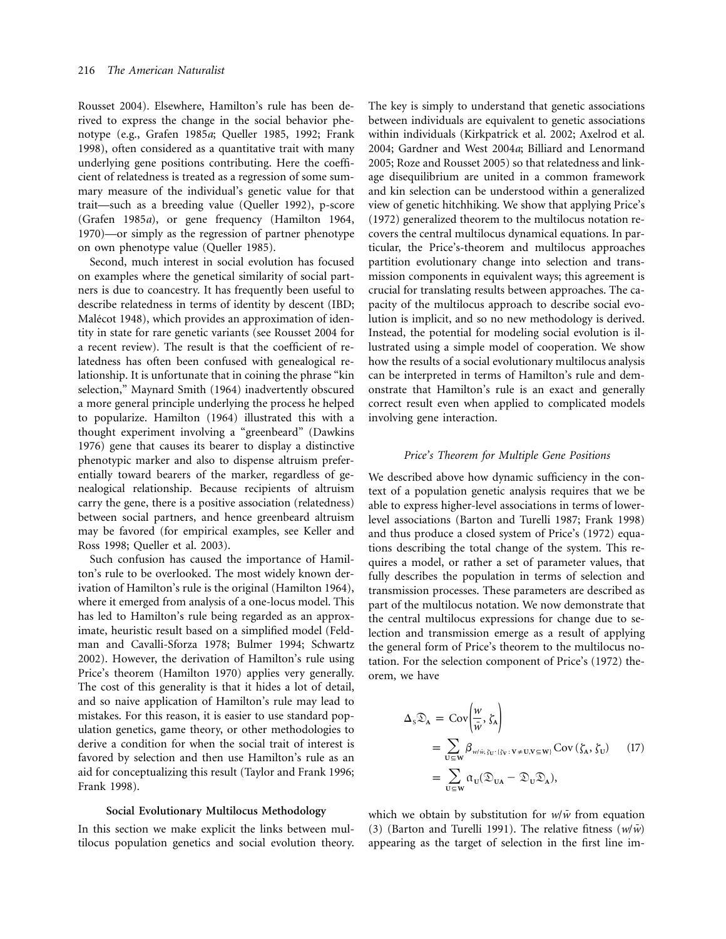Rousset 2004). Elsewhere, Hamilton's rule has been derived to express the change in the social behavior phenotype (e.g., Grafen 1985*a*; Queller 1985, 1992; Frank 1998), often considered as a quantitative trait with many underlying gene positions contributing. Here the coefficient of relatedness is treated as a regression of some summary measure of the individual's genetic value for that trait—such as a breeding value (Queller 1992), p-score (Grafen 1985*a*), or gene frequency (Hamilton 1964, 1970)—or simply as the regression of partner phenotype on own phenotype value (Queller 1985).

Second, much interest in social evolution has focused on examples where the genetical similarity of social partners is due to coancestry. It has frequently been useful to describe relatedness in terms of identity by descent (IBD; Malécot 1948), which provides an approximation of identity in state for rare genetic variants (see Rousset 2004 for a recent review). The result is that the coefficient of relatedness has often been confused with genealogical relationship. It is unfortunate that in coining the phrase "kin selection," Maynard Smith (1964) inadvertently obscured a more general principle underlying the process he helped to popularize. Hamilton (1964) illustrated this with a thought experiment involving a "greenbeard" (Dawkins 1976) gene that causes its bearer to display a distinctive phenotypic marker and also to dispense altruism preferentially toward bearers of the marker, regardless of genealogical relationship. Because recipients of altruism carry the gene, there is a positive association (relatedness) between social partners, and hence greenbeard altruism may be favored (for empirical examples, see Keller and Ross 1998; Queller et al. 2003).

Such confusion has caused the importance of Hamilton's rule to be overlooked. The most widely known derivation of Hamilton's rule is the original (Hamilton 1964), where it emerged from analysis of a one-locus model. This has led to Hamilton's rule being regarded as an approximate, heuristic result based on a simplified model (Feldman and Cavalli-Sforza 1978; Bulmer 1994; Schwartz 2002). However, the derivation of Hamilton's rule using Price's theorem (Hamilton 1970) applies very generally. The cost of this generality is that it hides a lot of detail, and so naive application of Hamilton's rule may lead to mistakes. For this reason, it is easier to use standard population genetics, game theory, or other methodologies to derive a condition for when the social trait of interest is favored by selection and then use Hamilton's rule as an aid for conceptualizing this result (Taylor and Frank 1996; Frank 1998).

# **Social Evolutionary Multilocus Methodology**

In this section we make explicit the links between multilocus population genetics and social evolution theory.

The key is simply to understand that genetic associations between individuals are equivalent to genetic associations within individuals (Kirkpatrick et al. 2002; Axelrod et al. 2004; Gardner and West 2004*a*; Billiard and Lenormand 2005; Roze and Rousset 2005) so that relatedness and linkage disequilibrium are united in a common framework and kin selection can be understood within a generalized view of genetic hitchhiking. We show that applying Price's (1972) generalized theorem to the multilocus notation recovers the central multilocus dynamical equations. In particular, the Price's-theorem and multilocus approaches partition evolutionary change into selection and transmission components in equivalent ways; this agreement is crucial for translating results between approaches. The capacity of the multilocus approach to describe social evolution is implicit, and so no new methodology is derived. Instead, the potential for modeling social evolution is illustrated using a simple model of cooperation. We show how the results of a social evolutionary multilocus analysis can be interpreted in terms of Hamilton's rule and demonstrate that Hamilton's rule is an exact and generally correct result even when applied to complicated models involving gene interaction.

# *Price's Theorem for Multiple Gene Positions*

We described above how dynamic sufficiency in the context of a population genetic analysis requires that we be able to express higher-level associations in terms of lowerlevel associations (Barton and Turelli 1987; Frank 1998) and thus produce a closed system of Price's (1972) equations describing the total change of the system. This requires a model, or rather a set of parameter values, that fully describes the population in terms of selection and transmission processes. These parameters are described as part of the multilocus notation. We now demonstrate that the central multilocus expressions for change due to selection and transmission emerge as a result of applying the general form of Price's theorem to the multilocus notation. For the selection component of Price's (1972) theorem, we have

$$
\Delta_{s} \mathfrak{D}_{A} = \text{Cov} \left( \frac{w}{\overline{w}}, \zeta_{A} \right)
$$
\n
$$
= \sum_{U \subseteq W} \beta_{w/\overline{w}, \zeta_{U} \cdot (\zeta_{V} : V \neq U, V \subseteq W)} \text{Cov} \left( \zeta_{A}, \zeta_{U} \right) \qquad (17)
$$
\n
$$
= \sum_{U \subseteq W} \alpha_{U} (\mathfrak{D}_{UA} - \mathfrak{D}_{U} \mathfrak{D}_{A}),
$$

which we obtain by substitution for  $w/\bar{w}$  from equation (3) (Barton and Turelli 1991). The relative fitness  $(w/\bar{w})$ appearing as the target of selection in the first line im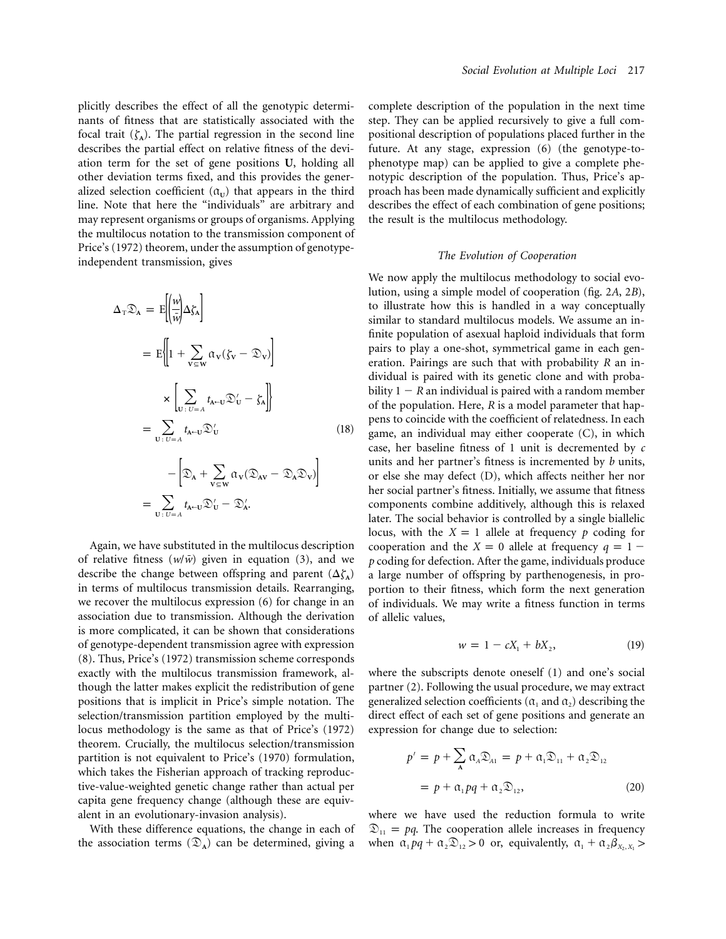plicitly describes the effect of all the genotypic determinants of fitness that are statistically associated with the focal trait  $(\zeta_A)$ . The partial regression in the second line describes the partial effect on relative fitness of the deviation term for the set of gene positions **U**, holding all other deviation terms fixed, and this provides the generalized selection coefficient  $(\alpha_{\text{U}})$  that appears in the third line. Note that here the "individuals" are arbitrary and may represent organisms or groups of organisms. Applying the multilocus notation to the transmission component of Price's (1972) theorem, under the assumption of genotypeindependent transmission, gives

$$
\Delta_{\mathbf{T}} \mathfrak{D}_{\mathbf{A}} = E \left[ \left( \frac{w}{\bar{w}} \right) \Delta \zeta_{\mathbf{A}} \right]
$$
  
\n
$$
= E \left\{ \left[ 1 + \sum_{v \in \mathbf{W}} \alpha_{v} (\zeta_{v} - \mathfrak{D}_{v}) \right]
$$
  
\n
$$
\times \left[ \sum_{v : v = A} t_{\mathbf{A} \leftarrow v} \mathfrak{D}'_{v} - \zeta_{\mathbf{A}} \right] \right\}
$$
  
\n
$$
= \sum_{v : v = A} t_{\mathbf{A} \leftarrow v} \mathfrak{D}'_{v} \qquad (18)
$$
  
\n
$$
- \left[ \mathfrak{D}_{\mathbf{A}} + \sum_{v \in \mathbf{W}} \alpha_{v} (\mathfrak{D}_{\mathbf{A} v} - \mathfrak{D}_{\mathbf{A}} \mathfrak{D}_{v}) \right]
$$
  
\n
$$
= \sum_{v : v = A} t_{\mathbf{A} \leftarrow v} \mathfrak{D}'_{v} - \mathfrak{D}'_{\mathbf{A}}.
$$

Again, we have substituted in the multilocus description of relative fitness  $(w/\bar{w})$  given in equation (3), and we describe the change between offspring and parent  $(\Delta \zeta_A)$ in terms of multilocus transmission details. Rearranging, we recover the multilocus expression (6) for change in an association due to transmission. Although the derivation is more complicated, it can be shown that considerations of genotype-dependent transmission agree with expression (8). Thus, Price's (1972) transmission scheme corresponds exactly with the multilocus transmission framework, although the latter makes explicit the redistribution of gene positions that is implicit in Price's simple notation. The selection/transmission partition employed by the multilocus methodology is the same as that of Price's (1972) theorem. Crucially, the multilocus selection/transmission partition is not equivalent to Price's (1970) formulation, which takes the Fisherian approach of tracking reproductive-value-weighted genetic change rather than actual per capita gene frequency change (although these are equivalent in an evolutionary-invasion analysis).

With these difference equations, the change in each of the association terms  $(\mathcal{D}_A)$  can be determined, giving a

complete description of the population in the next time step. They can be applied recursively to give a full compositional description of populations placed further in the future. At any stage, expression (6) (the genotype-tophenotype map) can be applied to give a complete phenotypic description of the population. Thus, Price's approach has been made dynamically sufficient and explicitly describes the effect of each combination of gene positions; the result is the multilocus methodology.

#### *The Evolution of Cooperation*

We now apply the multilocus methodology to social evolution, using a simple model of cooperation (fig. 2*A*, 2*B*), to illustrate how this is handled in a way conceptually similar to standard multilocus models. We assume an infinite population of asexual haploid individuals that form pairs to play a one-shot, symmetrical game in each generation. Pairings are such that with probability *R* an individual is paired with its genetic clone and with probability  $1 - R$  an individual is paired with a random member of the population. Here, *R* is a model parameter that happens to coincide with the coefficient of relatedness. In each game, an individual may either cooperate (C), in which case, her baseline fitness of 1 unit is decremented by *c* units and her partner's fitness is incremented by *b* units, or else she may defect (D), which affects neither her nor her social partner's fitness. Initially, we assume that fitness components combine additively, although this is relaxed later. The social behavior is controlled by a single biallelic locus, with the  $X = 1$  allele at frequency *p* coding for cooperation and the  $X = 0$  allele at frequency  $q = 1$ *p* coding for defection. After the game, individuals produce a large number of offspring by parthenogenesis, in proportion to their fitness, which form the next generation of individuals. We may write a fitness function in terms of allelic values,

$$
w = 1 - cX_1 + bX_2, \t\t(19)
$$

where the subscripts denote oneself (1) and one's social partner (2). Following the usual procedure, we may extract generalized selection coefficients ( $\alpha_1$  and  $\alpha_2$ ) describing the direct effect of each set of gene positions and generate an expression for change due to selection:

$$
p' = p + \sum_{A} \alpha_A \mathfrak{D}_{A1} = p + \alpha_1 \mathfrak{D}_{11} + \alpha_2 \mathfrak{D}_{12}
$$
  
=  $p + \alpha_1 pq + \alpha_2 \mathfrak{D}_{12}$ , (20)

where we have used the reduction formula to write  $\mathfrak{D}_{11} = pq$ . The cooperation allele increases in frequency when  $\alpha_1 p q + \alpha_2 \mathcal{D}_{12} > 0$  or, equivalently,  $\alpha_1 + \alpha_2 \beta_{X_2, X_1} >$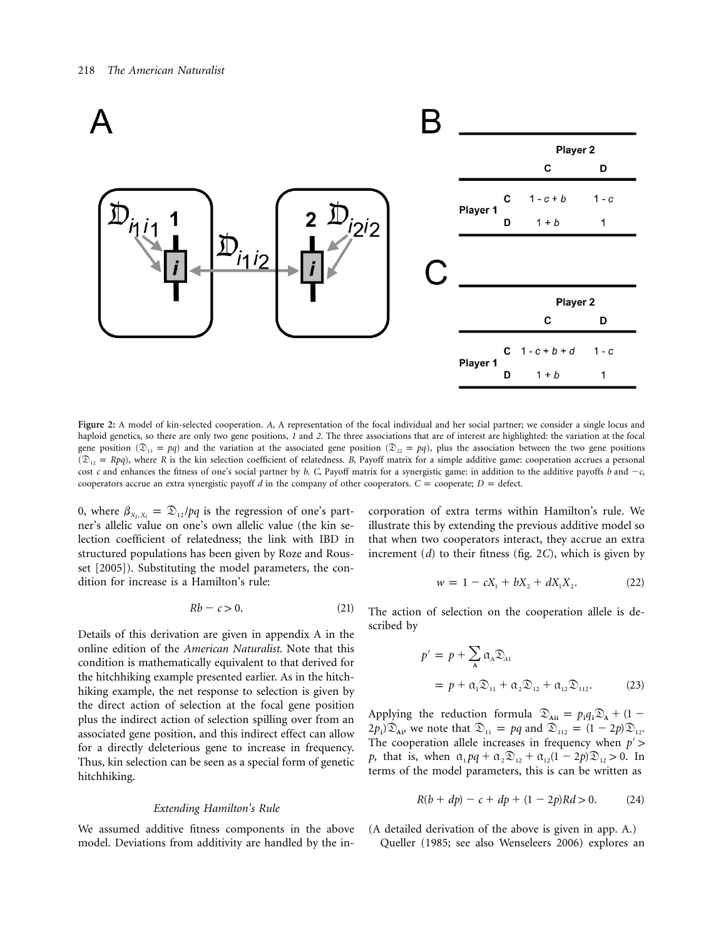

**Figure 2:** A model of kin-selected cooperation. *A*, A representation of the focal individual and her social partner; we consider a single locus and haploid genetics, so there are only two gene positions, *1* and *2*. The three associations that are of interest are highlighted: the variation at the focal gene position ( $\mathfrak{D}_{11} = pq$ ) and the variation at the associated gene position ( $\mathfrak{D}_{22} = pq$ ), plus the association between the two gene positions  $(\mathfrak{D}_{12} = Rpq)$ , where *R* is the kin selection coefficient of relatedness. *B*, Payoff matrix for a simple additive game: cooperation accrues a personal cost *c* and enhances the fitness of one's social partner by *b*. *C*, Payoff matrix for a synergistic game: in addition to the additive payoffs *b* and  $-c$ , cooperators accrue an extra synergistic payoff  $d$  in the company of other cooperators.  $C =$  cooperate;  $D =$  defect.

0, where  $\beta_{X_2, X_1} = \mathfrak{D}_{12}/pq$  is the regression of one's partner's allelic value on one's own allelic value (the kin selection coefficient of relatedness; the link with IBD in structured populations has been given by Roze and Rousset [2005]). Substituting the model parameters, the condition for increase is a Hamilton's rule:

$$
Rb - c > 0. \tag{21}
$$

Details of this derivation are given in appendix A in the online edition of the *American Naturalist*. Note that this condition is mathematically equivalent to that derived for the hitchhiking example presented earlier. As in the hitchhiking example, the net response to selection is given by the direct action of selection at the focal gene position plus the indirect action of selection spilling over from an associated gene position, and this indirect effect can allow for a directly deleterious gene to increase in frequency. Thus, kin selection can be seen as a special form of genetic hitchhiking.

#### *Extending Hamilton's Rule*

We assumed additive fitness components in the above model. Deviations from additivity are handled by the in-

corporation of extra terms within Hamilton's rule. We illustrate this by extending the previous additive model so that when two cooperators interact, they accrue an extra increment (*d*) to their fitness (fig. 2*C*), which is given by

$$
w = 1 - cX_1 + bX_2 + dX_1X_2.
$$
 (22)

The action of selection on the cooperation allele is described by

$$
p' = p + \sum_{A} \alpha_A \mathfrak{D}_{A1}
$$
  
=  $p + \alpha_1 \mathfrak{D}_{11} + \alpha_2 \mathfrak{D}_{12} + \alpha_{12} \mathfrak{D}_{112}$ . (23)

Applying the reduction formula  $\mathcal{D}_{\text{Aii}} = p_i q_i \mathcal{D}_{\text{A}} + (1 (2p_i)\mathfrak{D}_{Ai}$ , we note that  $\mathfrak{D}_{11} = pq$  and  $\mathfrak{D}_{112} = (1 - 2p)\mathfrak{D}_{12}$ . The cooperation allele increases in frequency when  $p'$ *p*, that is, when  $\alpha_1 p q + \alpha_2 \mathcal{D}_{12} + \alpha_{12} (1 - 2p) \mathcal{D}_{12} > 0$ . In terms of the model parameters, this is can be written as

$$
R(b + dp) - c + dp + (1 - 2p)Rd > 0.
$$
 (24)

(A detailed derivation of the above is given in app. A.) Queller (1985; see also Wenseleers 2006) explores an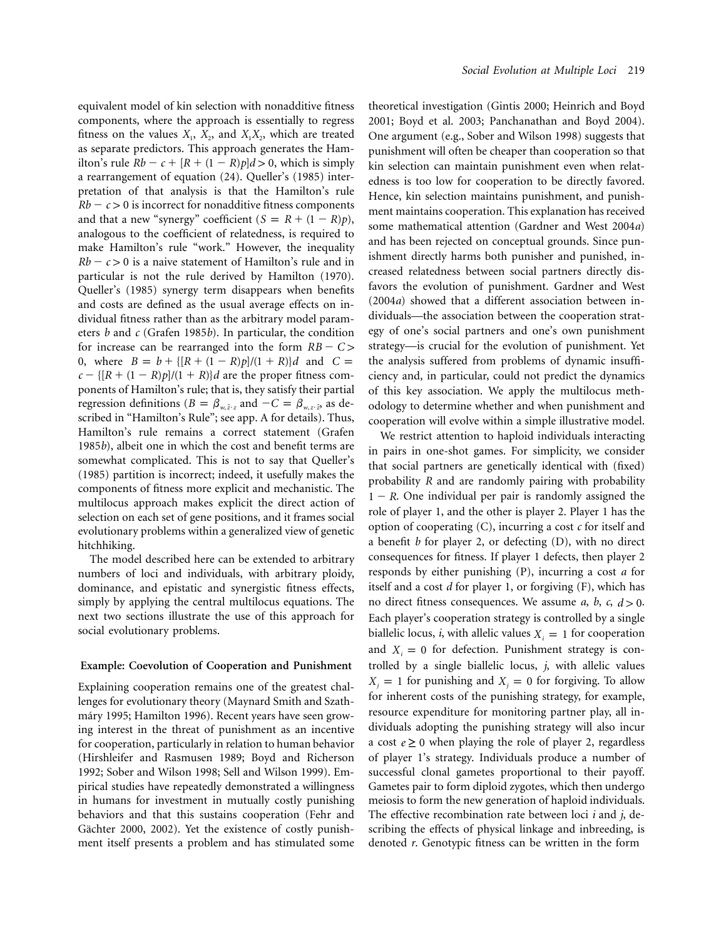equivalent model of kin selection with nonadditive fitness components, where the approach is essentially to regress fitness on the values  $X_1$ ,  $X_2$ , and  $X_1X_2$ , which are treated as separate predictors. This approach generates the Hamilton's rule  $Rb - c + [R + (1 - R)p]d > 0$ , which is simply a rearrangement of equation (24). Queller's (1985) interpretation of that analysis is that the Hamilton's rule  $Rb - c > 0$  is incorrect for nonadditive fitness components and that a new "synergy" coefficient  $(S = R + (1 - R)p)$ , analogous to the coefficient of relatedness, is required to make Hamilton's rule "work." However, the inequality  $Rb - c > 0$  is a naive statement of Hamilton's rule and in particular is not the rule derived by Hamilton (1970). Queller's (1985) synergy term disappears when benefits and costs are defined as the usual average effects on individual fitness rather than as the arbitrary model parameters *b* and *c* (Grafen 1985*b*). In particular, the condition for increase can be rearranged into the form  $RB - C$ 0, where  $B = b + \{[R + (1 - R)p]/(1 + R)\}d$  and  $C =$  $c = \frac{[(R + (1 - R)p]}{(1 + R)}d$  are the proper fitness components of Hamilton's rule; that is, they satisfy their partial regression definitions ( $B = \beta_{w, \hat{z}}$  and  $-C = \beta_{w, z \cdot \hat{z}}$  as described in "Hamilton's Rule"; see app. A for details). Thus, Hamilton's rule remains a correct statement (Grafen 1985*b*), albeit one in which the cost and benefit terms are somewhat complicated. This is not to say that Queller's (1985) partition is incorrect; indeed, it usefully makes the components of fitness more explicit and mechanistic. The multilocus approach makes explicit the direct action of selection on each set of gene positions, and it frames social evolutionary problems within a generalized view of genetic hitchhiking.

The model described here can be extended to arbitrary numbers of loci and individuals, with arbitrary ploidy, dominance, and epistatic and synergistic fitness effects, simply by applying the central multilocus equations. The next two sections illustrate the use of this approach for social evolutionary problems.

#### **Example: Coevolution of Cooperation and Punishment**

Explaining cooperation remains one of the greatest challenges for evolutionary theory (Maynard Smith and Szathmáry 1995; Hamilton 1996). Recent years have seen growing interest in the threat of punishment as an incentive for cooperation, particularly in relation to human behavior (Hirshleifer and Rasmusen 1989; Boyd and Richerson 1992; Sober and Wilson 1998; Sell and Wilson 1999). Empirical studies have repeatedly demonstrated a willingness in humans for investment in mutually costly punishing behaviors and that this sustains cooperation (Fehr and Gächter 2000, 2002). Yet the existence of costly punishment itself presents a problem and has stimulated some

theoretical investigation (Gintis 2000; Heinrich and Boyd 2001; Boyd et al. 2003; Panchanathan and Boyd 2004). One argument (e.g., Sober and Wilson 1998) suggests that punishment will often be cheaper than cooperation so that kin selection can maintain punishment even when relatedness is too low for cooperation to be directly favored. Hence, kin selection maintains punishment, and punishment maintains cooperation. This explanation has received some mathematical attention (Gardner and West 2004*a*) and has been rejected on conceptual grounds. Since punishment directly harms both punisher and punished, increased relatedness between social partners directly disfavors the evolution of punishment. Gardner and West (2004*a*) showed that a different association between individuals—the association between the cooperation strategy of one's social partners and one's own punishment strategy—is crucial for the evolution of punishment. Yet the analysis suffered from problems of dynamic insufficiency and, in particular, could not predict the dynamics of this key association. We apply the multilocus methodology to determine whether and when punishment and cooperation will evolve within a simple illustrative model.

We restrict attention to haploid individuals interacting in pairs in one-shot games. For simplicity, we consider that social partners are genetically identical with (fixed) probability *R* and are randomly pairing with probability  $1 - R$ . One individual per pair is randomly assigned the role of player 1, and the other is player 2. Player 1 has the option of cooperating (C), incurring a cost *c* for itself and a benefit *b* for player 2, or defecting (D), with no direct consequences for fitness. If player 1 defects, then player 2 responds by either punishing (P), incurring a cost *a* for itself and a cost *d* for player 1, or forgiving (F), which has no direct fitness consequences. We assume *a*, *b*, *c*,  $d > 0$ . Each player's cooperation strategy is controlled by a single biallelic locus, *i*, with allelic values  $X_i = 1$  for cooperation and  $X_i = 0$  for defection. Punishment strategy is controlled by a single biallelic locus, *j*, with allelic values  $X_i = 1$  for punishing and  $X_i = 0$  for forgiving. To allow for inherent costs of the punishing strategy, for example, resource expenditure for monitoring partner play, all individuals adopting the punishing strategy will also incur a cost  $e \ge 0$  when playing the role of player 2, regardless of player 1's strategy. Individuals produce a number of successful clonal gametes proportional to their payoff. Gametes pair to form diploid zygotes, which then undergo meiosis to form the new generation of haploid individuals. The effective recombination rate between loci *i* and *j*, describing the effects of physical linkage and inbreeding, is denoted *r*. Genotypic fitness can be written in the form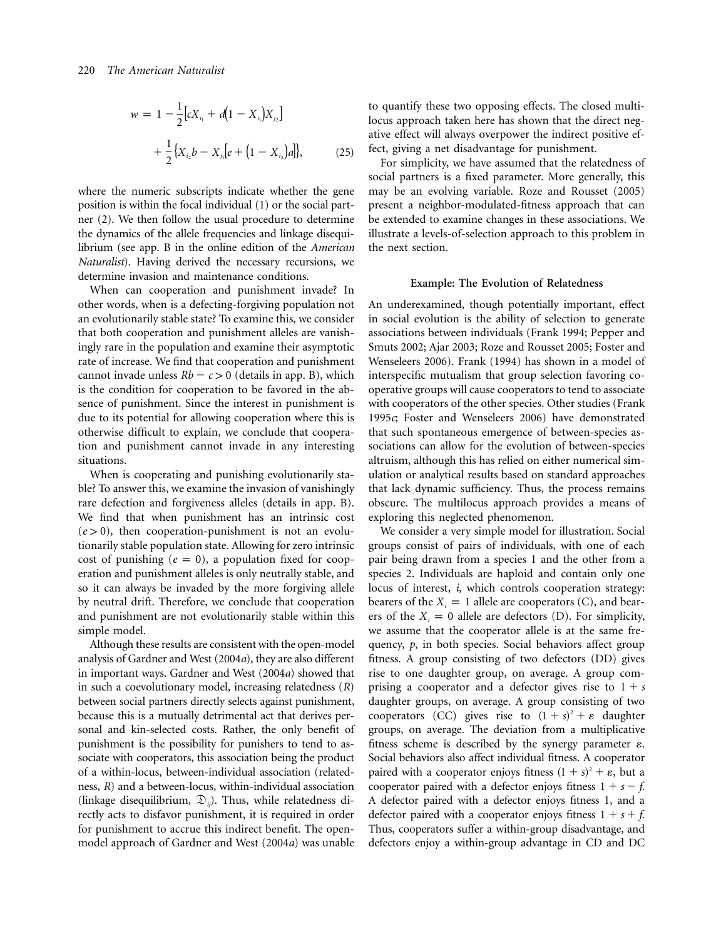$$
w = 1 - \frac{1}{2} [cX_{i_1} + d(1 - X_{i_1})X_{j_2}]
$$
  
+ 
$$
\frac{1}{2} \{X_{i_2}b - X_{j_1}[e + (1 - X_{i_2})a]\},
$$
 (25)

where the numeric subscripts indicate whether the gene position is within the focal individual (1) or the social partner (2). We then follow the usual procedure to determine the dynamics of the allele frequencies and linkage disequilibrium (see app. B in the online edition of the *American Naturalist*). Having derived the necessary recursions, we determine invasion and maintenance conditions.

When can cooperation and punishment invade? In other words, when is a defecting-forgiving population not an evolutionarily stable state? To examine this, we consider that both cooperation and punishment alleles are vanishingly rare in the population and examine their asymptotic rate of increase. We find that cooperation and punishment cannot invade unless  $Rb - c > 0$  (details in app. B), which is the condition for cooperation to be favored in the absence of punishment. Since the interest in punishment is due to its potential for allowing cooperation where this is otherwise difficult to explain, we conclude that cooperation and punishment cannot invade in any interesting situations.

When is cooperating and punishing evolutionarily stable? To answer this, we examine the invasion of vanishingly rare defection and forgiveness alleles (details in app. B). We find that when punishment has an intrinsic cost  $(e > 0)$ , then cooperation-punishment is not an evolutionarily stable population state. Allowing for zero intrinsic cost of punishing  $(e = 0)$ , a population fixed for cooperation and punishment alleles is only neutrally stable, and so it can always be invaded by the more forgiving allele by neutral drift. Therefore, we conclude that cooperation and punishment are not evolutionarily stable within this simple model.

Although these results are consistent with the open-model analysis of Gardner and West (2004*a*), they are also different in important ways. Gardner and West (2004*a*) showed that in such a coevolutionary model, increasing relatedness (*R*) between social partners directly selects against punishment, because this is a mutually detrimental act that derives personal and kin-selected costs. Rather, the only benefit of punishment is the possibility for punishers to tend to associate with cooperators, this association being the product of a within-locus, between-individual association (relatedness, *R*) and a between-locus, within-individual association (linkage disequilibrium,  $\mathfrak{D}_{ii}$ ). Thus, while relatedness directly acts to disfavor punishment, it is required in order for punishment to accrue this indirect benefit. The openmodel approach of Gardner and West (2004*a*) was unable

to quantify these two opposing effects. The closed multilocus approach taken here has shown that the direct negative effect will always overpower the indirect positive effect, giving a net disadvantage for punishment.

For simplicity, we have assumed that the relatedness of social partners is a fixed parameter. More generally, this may be an evolving variable. Roze and Rousset (2005) present a neighbor-modulated-fitness approach that can be extended to examine changes in these associations. We illustrate a levels-of-selection approach to this problem in the next section.

#### **Example: The Evolution of Relatedness**

An underexamined, though potentially important, effect in social evolution is the ability of selection to generate associations between individuals (Frank 1994; Pepper and Smuts 2002; Ajar 2003; Roze and Rousset 2005; Foster and Wenseleers 2006). Frank (1994) has shown in a model of interspecific mutualism that group selection favoring cooperative groups will cause cooperators to tend to associate with cooperators of the other species. Other studies (Frank 1995*c*; Foster and Wenseleers 2006) have demonstrated that such spontaneous emergence of between-species associations can allow for the evolution of between-species altruism, although this has relied on either numerical simulation or analytical results based on standard approaches that lack dynamic sufficiency. Thus, the process remains obscure. The multilocus approach provides a means of exploring this neglected phenomenon.

We consider a very simple model for illustration. Social groups consist of pairs of individuals, with one of each pair being drawn from a species 1 and the other from a species 2. Individuals are haploid and contain only one locus of interest, *i*, which controls cooperation strategy: bearers of the  $X_i = 1$  allele are cooperators (C), and bearers of the  $X_i = 0$  allele are defectors (D). For simplicity, we assume that the cooperator allele is at the same frequency, *p*, in both species. Social behaviors affect group fitness. A group consisting of two defectors (DD) gives rise to one daughter group, on average. A group comprising a cooperator and a defector gives rise to  $1 + s$ daughter groups, on average. A group consisting of two cooperators (CC) gives rise to  $(1 + s)^2 + \varepsilon$  daughter groups, on average. The deviation from a multiplicative fitness scheme is described by the synergy parameter  $\varepsilon$ . Social behaviors also affect individual fitness. A cooperator paired with a cooperator enjoys fitness  $(1 + s)^2 + \varepsilon$ , but a cooperator paired with a defector enjoys fitness  $1 + s - f$ . A defector paired with a defector enjoys fitness 1, and a defector paired with a cooperator enjoys fitness  $1 + s + f$ . Thus, cooperators suffer a within-group disadvantage, and defectors enjoy a within-group advantage in CD and DC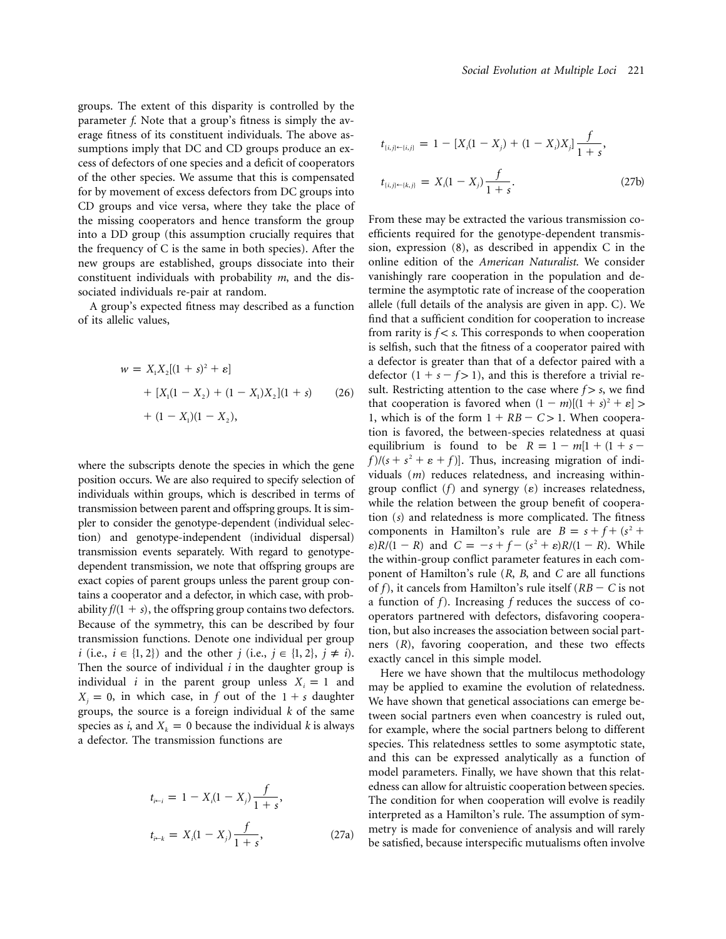groups. The extent of this disparity is controlled by the parameter *f*. Note that a group's fitness is simply the average fitness of its constituent individuals. The above assumptions imply that DC and CD groups produce an excess of defectors of one species and a deficit of cooperators of the other species. We assume that this is compensated for by movement of excess defectors from DC groups into CD groups and vice versa, where they take the place of the missing cooperators and hence transform the group into a DD group (this assumption crucially requires that the frequency of C is the same in both species). After the new groups are established, groups dissociate into their constituent individuals with probability *m*, and the dissociated individuals re-pair at random.

A group's expected fitness may described as a function of its allelic values,

$$
w = X_1 X_2 [(1 + s)^2 + \varepsilon]
$$
  
+ 
$$
[X_1 (1 - X_2) + (1 - X_1) X_2] (1 + s)
$$
 (26)  
+ 
$$
(1 - X_1)(1 - X_2),
$$

where the subscripts denote the species in which the gene position occurs. We are also required to specify selection of individuals within groups, which is described in terms of transmission between parent and offspring groups. It is simpler to consider the genotype-dependent (individual selection) and genotype-independent (individual dispersal) transmission events separately. With regard to genotypedependent transmission, we note that offspring groups are exact copies of parent groups unless the parent group contains a cooperator and a defector, in which case, with probability  $f/(1 + s)$ , the offspring group contains two defectors. Because of the symmetry, this can be described by four transmission functions. Denote one individual per group *i* (i.e.,  $i \in \{1, 2\}$ ) and the other *j* (i.e.,  $j \in \{1, 2\}$ ,  $j \neq i$ ). Then the source of individual *i* in the daughter group is individual *i* in the parent group unless  $X_i = 1$  and  $X_j = 0$ , in which case, in *f* out of the  $1 + s$  daughter groups, the source is a foreign individual *k* of the same species as *i*, and  $X_k = 0$  because the individual *k* is always a defector. The transmission functions are

$$
t_{i \leftarrow i} = 1 - X_i (1 - X_j) \frac{f}{1 + s},
$$
  

$$
t_{i \leftarrow k} = X_i (1 - X_j) \frac{f}{1 + s},
$$
 (27a)

$$
t_{\{i,j\} \leftarrow \{i,j\}} = 1 - [X_i(1 - X_j) + (1 - X_i)X_j] \frac{f}{1 + s},
$$
  

$$
t_{\{i,j\} \leftarrow \{k,j\}} = X_i(1 - X_j) \frac{f}{1 + s}.
$$
 (27b)

From these may be extracted the various transmission coefficients required for the genotype-dependent transmission, expression (8), as described in appendix C in the online edition of the *American Naturalist*. We consider vanishingly rare cooperation in the population and determine the asymptotic rate of increase of the cooperation allele (full details of the analysis are given in app. C). We find that a sufficient condition for cooperation to increase from rarity is  $f < s$ . This corresponds to when cooperation is selfish, such that the fitness of a cooperator paired with a defector is greater than that of a defector paired with a defector  $(1 + s - f > 1)$ , and this is therefore a trivial result. Restricting attention to the case where  $f > s$ , we find that cooperation is favored when  $(1 - m)[(1 + s)^2 + \varepsilon]$ 1, which is of the form  $1 + RB - C > 1$ . When cooperation is favored, the between-species relatedness at quasi equilibrium is found to be  $R = 1 - m[1 + (1 + s$  $f$ //( $s + s<sup>2</sup> + \varepsilon + f$ )]. Thus, increasing migration of individuals (*m*) reduces relatedness, and increasing withingroup conflict  $(f)$  and synergy  $(\varepsilon)$  increases relatedness, while the relation between the group benefit of cooperation (*s*) and relatedness is more complicated. The fitness components in Hamilton's rule are  $B = s + f + (s^2 + f)$  $\varepsilon$ )*R*/(1 – *R*) and  $C = -s + f - (s^2 + \varepsilon)R/(1 - R)$ . While the within-group conflict parameter features in each component of Hamilton's rule (*R*, *B*, and *C* are all functions of *f*), it cancels from Hamilton's rule itself  $(RB - C$  is not a function of *f*). Increasing *f* reduces the success of cooperators partnered with defectors, disfavoring cooperation, but also increases the association between social partners (*R*), favoring cooperation, and these two effects exactly cancel in this simple model.

Here we have shown that the multilocus methodology may be applied to examine the evolution of relatedness. We have shown that genetical associations can emerge between social partners even when coancestry is ruled out, for example, where the social partners belong to different species. This relatedness settles to some asymptotic state, and this can be expressed analytically as a function of model parameters. Finally, we have shown that this relatedness can allow for altruistic cooperation between species. The condition for when cooperation will evolve is readily interpreted as a Hamilton's rule. The assumption of symmetry is made for convenience of analysis and will rarely be satisfied, because interspecific mutualisms often involve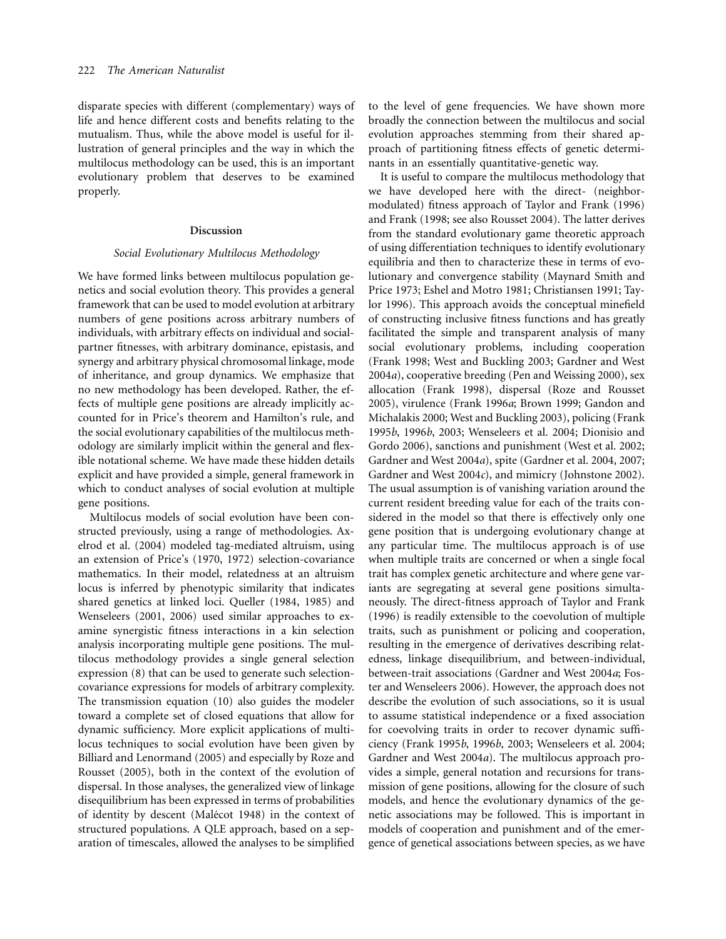disparate species with different (complementary) ways of life and hence different costs and benefits relating to the mutualism. Thus, while the above model is useful for illustration of general principles and the way in which the multilocus methodology can be used, this is an important evolutionary problem that deserves to be examined properly.

#### **Discussion**

### *Social Evolutionary Multilocus Methodology*

We have formed links between multilocus population genetics and social evolution theory. This provides a general framework that can be used to model evolution at arbitrary numbers of gene positions across arbitrary numbers of individuals, with arbitrary effects on individual and socialpartner fitnesses, with arbitrary dominance, epistasis, and synergy and arbitrary physical chromosomal linkage, mode of inheritance, and group dynamics. We emphasize that no new methodology has been developed. Rather, the effects of multiple gene positions are already implicitly accounted for in Price's theorem and Hamilton's rule, and the social evolutionary capabilities of the multilocus methodology are similarly implicit within the general and flexible notational scheme. We have made these hidden details explicit and have provided a simple, general framework in which to conduct analyses of social evolution at multiple gene positions.

Multilocus models of social evolution have been constructed previously, using a range of methodologies. Axelrod et al. (2004) modeled tag-mediated altruism, using an extension of Price's (1970, 1972) selection-covariance mathematics. In their model, relatedness at an altruism locus is inferred by phenotypic similarity that indicates shared genetics at linked loci. Queller (1984, 1985) and Wenseleers (2001, 2006) used similar approaches to examine synergistic fitness interactions in a kin selection analysis incorporating multiple gene positions. The multilocus methodology provides a single general selection expression (8) that can be used to generate such selectioncovariance expressions for models of arbitrary complexity. The transmission equation (10) also guides the modeler toward a complete set of closed equations that allow for dynamic sufficiency. More explicit applications of multilocus techniques to social evolution have been given by Billiard and Lenormand (2005) and especially by Roze and Rousset (2005), both in the context of the evolution of dispersal. In those analyses, the generalized view of linkage disequilibrium has been expressed in terms of probabilities of identity by descent (Malécot 1948) in the context of structured populations. A QLE approach, based on a separation of timescales, allowed the analyses to be simplified to the level of gene frequencies. We have shown more broadly the connection between the multilocus and social evolution approaches stemming from their shared approach of partitioning fitness effects of genetic determinants in an essentially quantitative-genetic way.

It is useful to compare the multilocus methodology that we have developed here with the direct- (neighbormodulated) fitness approach of Taylor and Frank (1996) and Frank (1998; see also Rousset 2004). The latter derives from the standard evolutionary game theoretic approach of using differentiation techniques to identify evolutionary equilibria and then to characterize these in terms of evolutionary and convergence stability (Maynard Smith and Price 1973; Eshel and Motro 1981; Christiansen 1991; Taylor 1996). This approach avoids the conceptual minefield of constructing inclusive fitness functions and has greatly facilitated the simple and transparent analysis of many social evolutionary problems, including cooperation (Frank 1998; West and Buckling 2003; Gardner and West 2004*a*), cooperative breeding (Pen and Weissing 2000), sex allocation (Frank 1998), dispersal (Roze and Rousset 2005), virulence (Frank 1996*a*; Brown 1999; Gandon and Michalakis 2000; West and Buckling 2003), policing (Frank 1995*b*, 1996*b*, 2003; Wenseleers et al. 2004; Dionisio and Gordo 2006), sanctions and punishment (West et al. 2002; Gardner and West 2004*a*), spite (Gardner et al. 2004, 2007; Gardner and West 2004*c*), and mimicry (Johnstone 2002). The usual assumption is of vanishing variation around the current resident breeding value for each of the traits considered in the model so that there is effectively only one gene position that is undergoing evolutionary change at any particular time. The multilocus approach is of use when multiple traits are concerned or when a single focal trait has complex genetic architecture and where gene variants are segregating at several gene positions simultaneously. The direct-fitness approach of Taylor and Frank (1996) is readily extensible to the coevolution of multiple traits, such as punishment or policing and cooperation, resulting in the emergence of derivatives describing relatedness, linkage disequilibrium, and between-individual, between-trait associations (Gardner and West 2004*a*; Foster and Wenseleers 2006). However, the approach does not describe the evolution of such associations, so it is usual to assume statistical independence or a fixed association for coevolving traits in order to recover dynamic sufficiency (Frank 1995*b*, 1996*b*, 2003; Wenseleers et al. 2004; Gardner and West 2004*a*). The multilocus approach provides a simple, general notation and recursions for transmission of gene positions, allowing for the closure of such models, and hence the evolutionary dynamics of the genetic associations may be followed. This is important in models of cooperation and punishment and of the emergence of genetical associations between species, as we have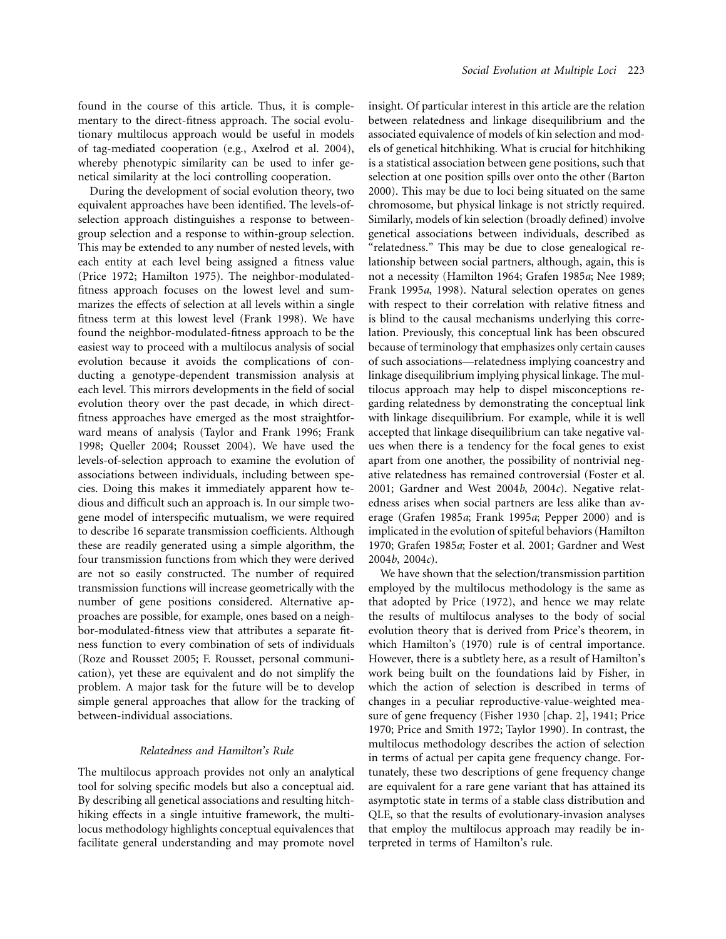found in the course of this article. Thus, it is complementary to the direct-fitness approach. The social evolutionary multilocus approach would be useful in models of tag-mediated cooperation (e.g., Axelrod et al. 2004), whereby phenotypic similarity can be used to infer genetical similarity at the loci controlling cooperation.

During the development of social evolution theory, two equivalent approaches have been identified. The levels-ofselection approach distinguishes a response to betweengroup selection and a response to within-group selection. This may be extended to any number of nested levels, with each entity at each level being assigned a fitness value (Price 1972; Hamilton 1975). The neighbor-modulatedfitness approach focuses on the lowest level and summarizes the effects of selection at all levels within a single fitness term at this lowest level (Frank 1998). We have found the neighbor-modulated-fitness approach to be the easiest way to proceed with a multilocus analysis of social evolution because it avoids the complications of conducting a genotype-dependent transmission analysis at each level. This mirrors developments in the field of social evolution theory over the past decade, in which directfitness approaches have emerged as the most straightforward means of analysis (Taylor and Frank 1996; Frank 1998; Queller 2004; Rousset 2004). We have used the levels-of-selection approach to examine the evolution of associations between individuals, including between species. Doing this makes it immediately apparent how tedious and difficult such an approach is. In our simple twogene model of interspecific mutualism, we were required to describe 16 separate transmission coefficients. Although these are readily generated using a simple algorithm, the four transmission functions from which they were derived are not so easily constructed. The number of required transmission functions will increase geometrically with the number of gene positions considered. Alternative approaches are possible, for example, ones based on a neighbor-modulated-fitness view that attributes a separate fitness function to every combination of sets of individuals (Roze and Rousset 2005; F. Rousset, personal communication), yet these are equivalent and do not simplify the problem. A major task for the future will be to develop simple general approaches that allow for the tracking of between-individual associations.

# *Relatedness and Hamilton's Rule*

The multilocus approach provides not only an analytical tool for solving specific models but also a conceptual aid. By describing all genetical associations and resulting hitchhiking effects in a single intuitive framework, the multilocus methodology highlights conceptual equivalences that facilitate general understanding and may promote novel

insight. Of particular interest in this article are the relation between relatedness and linkage disequilibrium and the associated equivalence of models of kin selection and models of genetical hitchhiking. What is crucial for hitchhiking is a statistical association between gene positions, such that selection at one position spills over onto the other (Barton 2000). This may be due to loci being situated on the same chromosome, but physical linkage is not strictly required. Similarly, models of kin selection (broadly defined) involve genetical associations between individuals, described as "relatedness." This may be due to close genealogical relationship between social partners, although, again, this is not a necessity (Hamilton 1964; Grafen 1985*a*; Nee 1989; Frank 1995*a*, 1998). Natural selection operates on genes with respect to their correlation with relative fitness and is blind to the causal mechanisms underlying this correlation. Previously, this conceptual link has been obscured because of terminology that emphasizes only certain causes of such associations—relatedness implying coancestry and linkage disequilibrium implying physical linkage. The multilocus approach may help to dispel misconceptions regarding relatedness by demonstrating the conceptual link with linkage disequilibrium. For example, while it is well accepted that linkage disequilibrium can take negative values when there is a tendency for the focal genes to exist apart from one another, the possibility of nontrivial negative relatedness has remained controversial (Foster et al. 2001; Gardner and West 2004*b*, 2004*c*). Negative relatedness arises when social partners are less alike than average (Grafen 1985*a*; Frank 1995*a*; Pepper 2000) and is implicated in the evolution of spiteful behaviors (Hamilton 1970; Grafen 1985*a*; Foster et al. 2001; Gardner and West 2004*b*, 2004*c*).

We have shown that the selection/transmission partition employed by the multilocus methodology is the same as that adopted by Price (1972), and hence we may relate the results of multilocus analyses to the body of social evolution theory that is derived from Price's theorem, in which Hamilton's (1970) rule is of central importance. However, there is a subtlety here, as a result of Hamilton's work being built on the foundations laid by Fisher, in which the action of selection is described in terms of changes in a peculiar reproductive-value-weighted measure of gene frequency (Fisher 1930 [chap. 2], 1941; Price 1970; Price and Smith 1972; Taylor 1990). In contrast, the multilocus methodology describes the action of selection in terms of actual per capita gene frequency change. Fortunately, these two descriptions of gene frequency change are equivalent for a rare gene variant that has attained its asymptotic state in terms of a stable class distribution and QLE, so that the results of evolutionary-invasion analyses that employ the multilocus approach may readily be interpreted in terms of Hamilton's rule.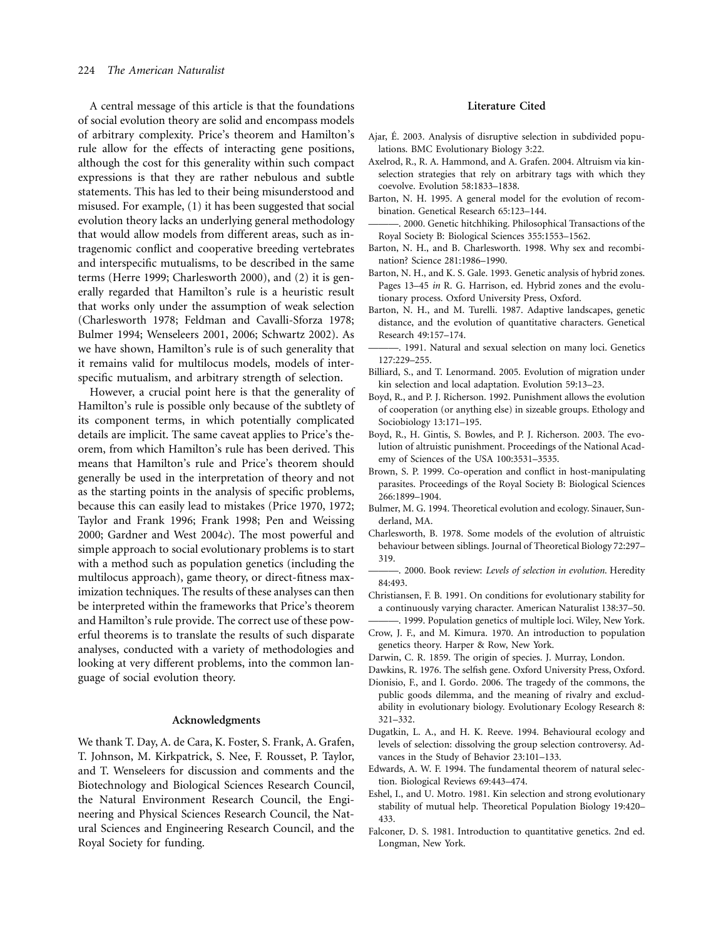A central message of this article is that the foundations of social evolution theory are solid and encompass models of arbitrary complexity. Price's theorem and Hamilton's rule allow for the effects of interacting gene positions, although the cost for this generality within such compact expressions is that they are rather nebulous and subtle statements. This has led to their being misunderstood and misused. For example, (1) it has been suggested that social evolution theory lacks an underlying general methodology that would allow models from different areas, such as intragenomic conflict and cooperative breeding vertebrates and interspecific mutualisms, to be described in the same terms (Herre 1999; Charlesworth 2000), and (2) it is generally regarded that Hamilton's rule is a heuristic result that works only under the assumption of weak selection (Charlesworth 1978; Feldman and Cavalli-Sforza 1978; Bulmer 1994; Wenseleers 2001, 2006; Schwartz 2002). As we have shown, Hamilton's rule is of such generality that it remains valid for multilocus models, models of interspecific mutualism, and arbitrary strength of selection.

However, a crucial point here is that the generality of Hamilton's rule is possible only because of the subtlety of its component terms, in which potentially complicated details are implicit. The same caveat applies to Price's theorem, from which Hamilton's rule has been derived. This means that Hamilton's rule and Price's theorem should generally be used in the interpretation of theory and not as the starting points in the analysis of specific problems, because this can easily lead to mistakes (Price 1970, 1972; Taylor and Frank 1996; Frank 1998; Pen and Weissing 2000; Gardner and West 2004*c*). The most powerful and simple approach to social evolutionary problems is to start with a method such as population genetics (including the multilocus approach), game theory, or direct-fitness maximization techniques. The results of these analyses can then be interpreted within the frameworks that Price's theorem and Hamilton's rule provide. The correct use of these powerful theorems is to translate the results of such disparate analyses, conducted with a variety of methodologies and looking at very different problems, into the common language of social evolution theory.

### **Acknowledgments**

We thank T. Day, A. de Cara, K. Foster, S. Frank, A. Grafen, T. Johnson, M. Kirkpatrick, S. Nee, F. Rousset, P. Taylor, and T. Wenseleers for discussion and comments and the Biotechnology and Biological Sciences Research Council, the Natural Environment Research Council, the Engineering and Physical Sciences Research Council, the Natural Sciences and Engineering Research Council, and the Royal Society for funding.

# **Literature Cited**

- Ajar, É. 2003. Analysis of disruptive selection in subdivided populations. BMC Evolutionary Biology 3:22.
- Axelrod, R., R. A. Hammond, and A. Grafen. 2004. Altruism via kinselection strategies that rely on arbitrary tags with which they coevolve. Evolution 58:1833–1838.
- Barton, N. H. 1995. A general model for the evolution of recombination. Genetical Research 65:123–144.
- -. 2000. Genetic hitchhiking. Philosophical Transactions of the Royal Society B: Biological Sciences 355:1553–1562.
- Barton, N. H., and B. Charlesworth. 1998. Why sex and recombination? Science 281:1986–1990.
- Barton, N. H., and K. S. Gale. 1993. Genetic analysis of hybrid zones. Pages 13–45 *in* R. G. Harrison, ed. Hybrid zones and the evolutionary process. Oxford University Press, Oxford.
- Barton, N. H., and M. Turelli. 1987. Adaptive landscapes, genetic distance, and the evolution of quantitative characters. Genetical Research 49:157–174.
- ———. 1991. Natural and sexual selection on many loci. Genetics 127:229–255.
- Billiard, S., and T. Lenormand. 2005. Evolution of migration under kin selection and local adaptation. Evolution 59:13–23.
- Boyd, R., and P. J. Richerson. 1992. Punishment allows the evolution of cooperation (or anything else) in sizeable groups. Ethology and Sociobiology 13:171–195.
- Boyd, R., H. Gintis, S. Bowles, and P. J. Richerson. 2003. The evolution of altruistic punishment. Proceedings of the National Academy of Sciences of the USA 100:3531–3535.
- Brown, S. P. 1999. Co-operation and conflict in host-manipulating parasites. Proceedings of the Royal Society B: Biological Sciences 266:1899–1904.
- Bulmer, M. G. 1994. Theoretical evolution and ecology. Sinauer, Sunderland, MA.
- Charlesworth, B. 1978. Some models of the evolution of altruistic behaviour between siblings. Journal of Theoretical Biology 72:297– 319.
- ———. 2000. Book review: *Levels of selection in evolution*. Heredity 84:493.
- Christiansen, F. B. 1991. On conditions for evolutionary stability for a continuously varying character. American Naturalist 138:37–50.
- -. 1999. Population genetics of multiple loci. Wiley, New York. Crow, J. F., and M. Kimura. 1970. An introduction to population
- genetics theory. Harper & Row, New York.
- Darwin, C. R. 1859. The origin of species. J. Murray, London.
- Dawkins, R. 1976. The selfish gene. Oxford University Press, Oxford.
- Dionisio, F., and I. Gordo. 2006. The tragedy of the commons, the public goods dilemma, and the meaning of rivalry and excludability in evolutionary biology. Evolutionary Ecology Research 8: 321–332.
- Dugatkin, L. A., and H. K. Reeve. 1994. Behavioural ecology and levels of selection: dissolving the group selection controversy. Advances in the Study of Behavior 23:101–133.
- Edwards, A. W. F. 1994. The fundamental theorem of natural selection. Biological Reviews 69:443–474.
- Eshel, I., and U. Motro. 1981. Kin selection and strong evolutionary stability of mutual help. Theoretical Population Biology 19:420– 433.
- Falconer, D. S. 1981. Introduction to quantitative genetics. 2nd ed. Longman, New York.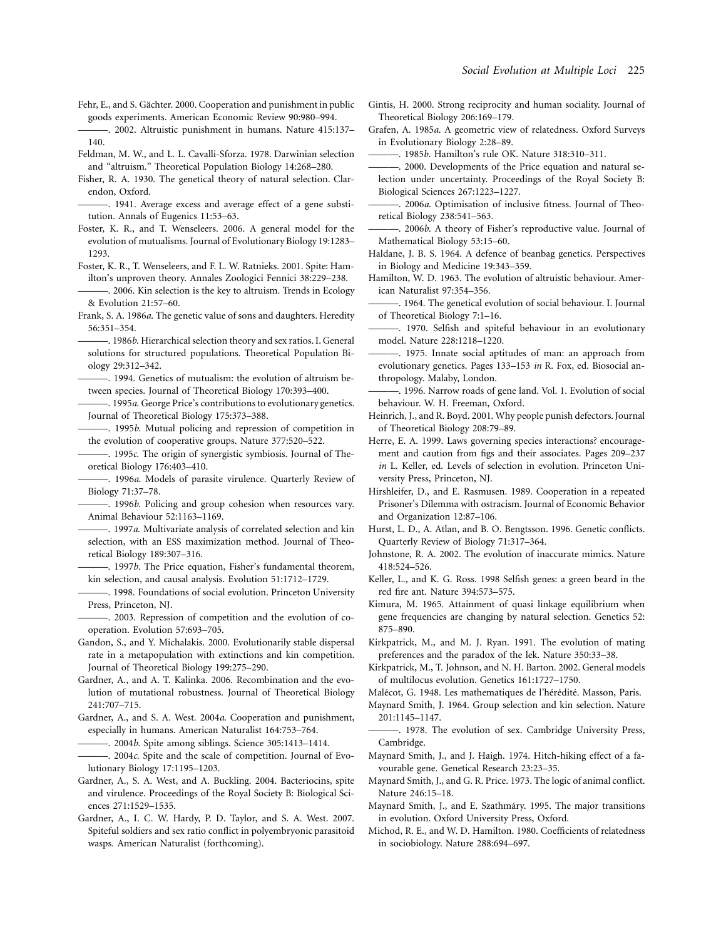- Fehr, E., and S. Gächter. 2000. Cooperation and punishment in public goods experiments. American Economic Review 90:980–994.
- ———. 2002. Altruistic punishment in humans. Nature 415:137– 140.
- Feldman, M. W., and L. L. Cavalli-Sforza. 1978. Darwinian selection and "altruism." Theoretical Population Biology 14:268–280.
- Fisher, R. A. 1930. The genetical theory of natural selection. Clarendon, Oxford.
- ———. 1941. Average excess and average effect of a gene substitution. Annals of Eugenics 11:53–63.
- Foster, K. R., and T. Wenseleers. 2006. A general model for the evolution of mutualisms. Journal of Evolutionary Biology 19:1283– 1293.
- Foster, K. R., T. Wenseleers, and F. L. W. Ratnieks. 2001. Spite: Hamilton's unproven theory. Annales Zoologici Fennici 38:229–238.
- ———. 2006. Kin selection is the key to altruism. Trends in Ecology & Evolution 21:57–60.
- Frank, S. A. 1986*a*. The genetic value of sons and daughters. Heredity 56:351–354.

———. 1986*b*. Hierarchical selection theory and sex ratios. I. General solutions for structured populations. Theoretical Population Biology 29:312–342.

-. 1994. Genetics of mutualism: the evolution of altruism between species. Journal of Theoretical Biology 170:393–400.

-. 1995*a*. George Price's contributions to evolutionary genetics. Journal of Theoretical Biology 175:373–388.

———. 1995*b*. Mutual policing and repression of competition in the evolution of cooperative groups. Nature 377:520–522.

- ———. 1995*c*. The origin of synergistic symbiosis. Journal of Theoretical Biology 176:403–410.
- ———. 1996*a*. Models of parasite virulence. Quarterly Review of Biology 71:37–78.
- ———. 1996*b*. Policing and group cohesion when resources vary. Animal Behaviour 52:1163–1169.
- -. 1997*a*. Multivariate analysis of correlated selection and kin selection, with an ESS maximization method. Journal of Theoretical Biology 189:307–316.
- ———. 1997*b*. The Price equation, Fisher's fundamental theorem, kin selection, and causal analysis. Evolution 51:1712–1729.
- -. 1998. Foundations of social evolution. Princeton University Press, Princeton, NJ.
- ———. 2003. Repression of competition and the evolution of cooperation. Evolution 57:693–705.
- Gandon, S., and Y. Michalakis. 2000. Evolutionarily stable dispersal rate in a metapopulation with extinctions and kin competition. Journal of Theoretical Biology 199:275–290.
- Gardner, A., and A. T. Kalinka. 2006. Recombination and the evolution of mutational robustness. Journal of Theoretical Biology 241:707–715.
- Gardner, A., and S. A. West. 2004*a*. Cooperation and punishment, especially in humans. American Naturalist 164:753–764.
	- ———. 2004*b*. Spite among siblings. Science 305:1413–1414.
- ———. 2004*c*. Spite and the scale of competition. Journal of Evolutionary Biology 17:1195–1203.
- Gardner, A., S. A. West, and A. Buckling. 2004. Bacteriocins, spite and virulence. Proceedings of the Royal Society B: Biological Sciences 271:1529–1535.
- Gardner, A., I. C. W. Hardy, P. D. Taylor, and S. A. West. 2007. Spiteful soldiers and sex ratio conflict in polyembryonic parasitoid wasps. American Naturalist (forthcoming).
- Gintis, H. 2000. Strong reciprocity and human sociality. Journal of Theoretical Biology 206:169–179.
- Grafen, A. 1985*a*. A geometric view of relatedness. Oxford Surveys in Evolutionary Biology 2:28–89.
	- ———. 1985*b*. Hamilton's rule OK. Nature 318:310–311.
- -. 2000. Developments of the Price equation and natural selection under uncertainty. Proceedings of the Royal Society B: Biological Sciences 267:1223–1227.
- ———. 2006*a*. Optimisation of inclusive fitness. Journal of Theoretical Biology 238:541–563.
- -. 2006*b*. A theory of Fisher's reproductive value. Journal of Mathematical Biology 53:15–60.
- Haldane, J. B. S. 1964. A defence of beanbag genetics. Perspectives in Biology and Medicine 19:343–359.
- Hamilton, W. D. 1963. The evolution of altruistic behaviour. American Naturalist 97:354–356.
- ———. 1964. The genetical evolution of social behaviour. I. Journal of Theoretical Biology 7:1–16.
- ———. 1970. Selfish and spiteful behaviour in an evolutionary model. Nature 228:1218–1220.
- -. 1975. Innate social aptitudes of man: an approach from evolutionary genetics. Pages 133–153 *in* R. Fox, ed. Biosocial anthropology. Malaby, London.
- ———. 1996. Narrow roads of gene land. Vol. 1. Evolution of social behaviour. W. H. Freeman, Oxford.
- Heinrich, J., and R. Boyd. 2001. Why people punish defectors. Journal of Theoretical Biology 208:79–89.
- Herre, E. A. 1999. Laws governing species interactions? encouragement and caution from figs and their associates. Pages 209–237 *in* L. Keller, ed. Levels of selection in evolution. Princeton University Press, Princeton, NJ.
- Hirshleifer, D., and E. Rasmusen. 1989. Cooperation in a repeated Prisoner's Dilemma with ostracism. Journal of Economic Behavior and Organization 12:87–106.
- Hurst, L. D., A. Atlan, and B. O. Bengtsson. 1996. Genetic conflicts. Quarterly Review of Biology 71:317–364.
- Johnstone, R. A. 2002. The evolution of inaccurate mimics. Nature 418:524–526.
- Keller, L., and K. G. Ross. 1998 Selfish genes: a green beard in the red fire ant. Nature 394:573–575.
- Kimura, M. 1965. Attainment of quasi linkage equilibrium when gene frequencies are changing by natural selection. Genetics 52: 875–890.
- Kirkpatrick, M., and M. J. Ryan. 1991. The evolution of mating preferences and the paradox of the lek. Nature 350:33–38.
- Kirkpatrick, M., T. Johnson, and N. H. Barton. 2002. General models of multilocus evolution. Genetics 161:1727–1750.
- Malécot, G. 1948. Les mathematiques de l'hérédité. Masson, Paris.
- Maynard Smith, J. 1964. Group selection and kin selection. Nature 201:1145–1147.
- ———. 1978. The evolution of sex. Cambridge University Press, Cambridge.
- Maynard Smith, J., and J. Haigh. 1974. Hitch-hiking effect of a favourable gene. Genetical Research 23:23–35.
- Maynard Smith, J., and G. R. Price. 1973. The logic of animal conflict. Nature 246:15–18.
- Maynard Smith, J., and E. Szathmáry. 1995. The major transitions in evolution. Oxford University Press, Oxford.
- Michod, R. E., and W. D. Hamilton. 1980. Coefficients of relatedness in sociobiology. Nature 288:694–697.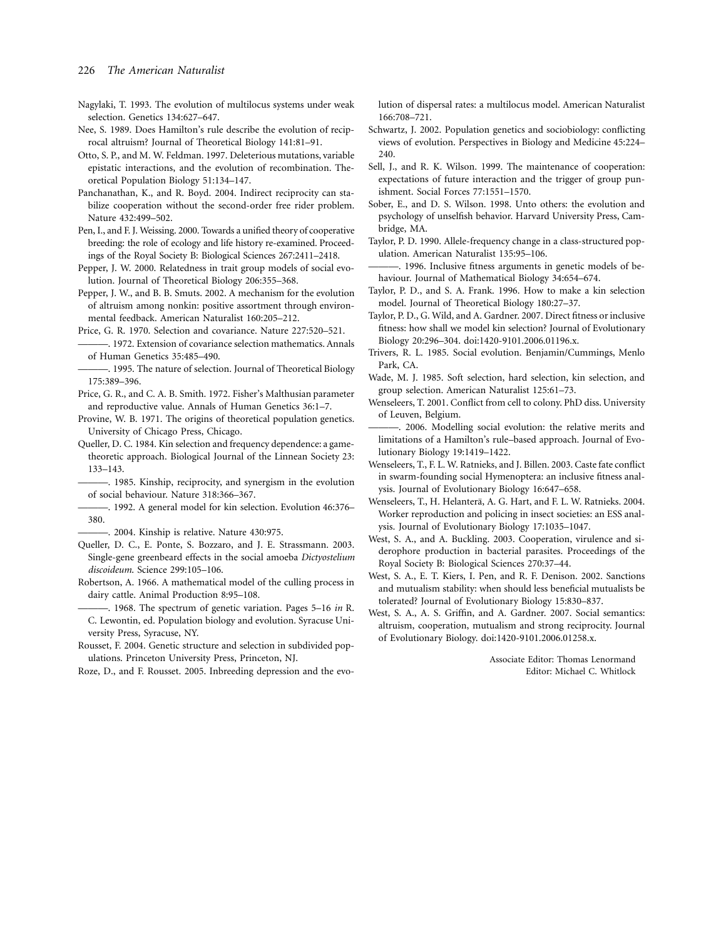#### 226 *The American Naturalist*

- Nagylaki, T. 1993. The evolution of multilocus systems under weak selection. Genetics 134:627–647.
- Nee, S. 1989. Does Hamilton's rule describe the evolution of reciprocal altruism? Journal of Theoretical Biology 141:81–91.
- Otto, S. P., and M. W. Feldman. 1997. Deleterious mutations, variable epistatic interactions, and the evolution of recombination. Theoretical Population Biology 51:134–147.
- Panchanathan, K., and R. Boyd. 2004. Indirect reciprocity can stabilize cooperation without the second-order free rider problem. Nature 432:499–502.
- Pen, I., and F. J. Weissing. 2000. Towards a unified theory of cooperative breeding: the role of ecology and life history re-examined. Proceedings of the Royal Society B: Biological Sciences 267:2411–2418.
- Pepper, J. W. 2000. Relatedness in trait group models of social evolution. Journal of Theoretical Biology 206:355–368.
- Pepper, J. W., and B. B. Smuts. 2002. A mechanism for the evolution of altruism among nonkin: positive assortment through environmental feedback. American Naturalist 160:205–212.
- Price, G. R. 1970. Selection and covariance. Nature 227:520–521.
- ———. 1972. Extension of covariance selection mathematics. Annals of Human Genetics 35:485–490.
- -. 1995. The nature of selection. Journal of Theoretical Biology 175:389–396.
- Price, G. R., and C. A. B. Smith. 1972. Fisher's Malthusian parameter and reproductive value. Annals of Human Genetics 36:1–7.
- Provine, W. B. 1971. The origins of theoretical population genetics. University of Chicago Press, Chicago.
- Queller, D. C. 1984. Kin selection and frequency dependence: a gametheoretic approach. Biological Journal of the Linnean Society 23: 133–143.
- ———. 1985. Kinship, reciprocity, and synergism in the evolution of social behaviour. Nature 318:366–367.
- -. 1992. A general model for kin selection. Evolution 46:376-380.
- ———. 2004. Kinship is relative. Nature 430:975.
- Queller, D. C., E. Ponte, S. Bozzaro, and J. E. Strassmann. 2003. Single-gene greenbeard effects in the social amoeba *Dictyostelium discoideum*. Science 299:105–106.
- Robertson, A. 1966. A mathematical model of the culling process in dairy cattle. Animal Production 8:95–108.
- ———. 1968. The spectrum of genetic variation. Pages 5–16 *in* R. C. Lewontin, ed. Population biology and evolution. Syracuse University Press, Syracuse, NY.
- Rousset, F. 2004. Genetic structure and selection in subdivided populations. Princeton University Press, Princeton, NJ.
- Roze, D., and F. Rousset. 2005. Inbreeding depression and the evo-

lution of dispersal rates: a multilocus model. American Naturalist 166:708–721.

- Schwartz, J. 2002. Population genetics and sociobiology: conflicting views of evolution. Perspectives in Biology and Medicine 45:224– 240
- Sell, J., and R. K. Wilson. 1999. The maintenance of cooperation: expectations of future interaction and the trigger of group punishment. Social Forces 77:1551–1570.
- Sober, E., and D. S. Wilson. 1998. Unto others: the evolution and psychology of unselfish behavior. Harvard University Press, Cambridge, MA.
- Taylor, P. D. 1990. Allele-frequency change in a class-structured population. American Naturalist 135:95–106.
- ———. 1996. Inclusive fitness arguments in genetic models of behaviour. Journal of Mathematical Biology 34:654–674.
- Taylor, P. D., and S. A. Frank. 1996. How to make a kin selection model. Journal of Theoretical Biology 180:27–37.
- Taylor, P. D., G. Wild, and A. Gardner. 2007. Direct fitness or inclusive fitness: how shall we model kin selection? Journal of Evolutionary Biology 20:296–304. doi:1420-9101.2006.01196.x.
- Trivers, R. L. 1985. Social evolution. Benjamin/Cummings, Menlo Park, CA.
- Wade, M. J. 1985. Soft selection, hard selection, kin selection, and group selection. American Naturalist 125:61–73.
- Wenseleers, T. 2001. Conflict from cell to colony. PhD diss. University of Leuven, Belgium.
- -. 2006. Modelling social evolution: the relative merits and limitations of a Hamilton's rule–based approach. Journal of Evolutionary Biology 19:1419–1422.
- Wenseleers, T., F. L. W. Ratnieks, and J. Billen. 2003. Caste fate conflict in swarm-founding social Hymenoptera: an inclusive fitness analysis. Journal of Evolutionary Biology 16:647–658.
- Wenseleers, T., H. Helanterä, A. G. Hart, and F. L. W. Ratnieks. 2004. Worker reproduction and policing in insect societies: an ESS analysis. Journal of Evolutionary Biology 17:1035–1047.
- West, S. A., and A. Buckling. 2003. Cooperation, virulence and siderophore production in bacterial parasites. Proceedings of the Royal Society B: Biological Sciences 270:37–44.
- West, S. A., E. T. Kiers, I. Pen, and R. F. Denison. 2002. Sanctions and mutualism stability: when should less beneficial mutualists be tolerated? Journal of Evolutionary Biology 15:830–837.
- West, S. A., A. S. Griffin, and A. Gardner. 2007. Social semantics: altruism, cooperation, mutualism and strong reciprocity. Journal of Evolutionary Biology. doi:1420-9101.2006.01258.x.

Associate Editor: Thomas Lenormand Editor: Michael C. Whitlock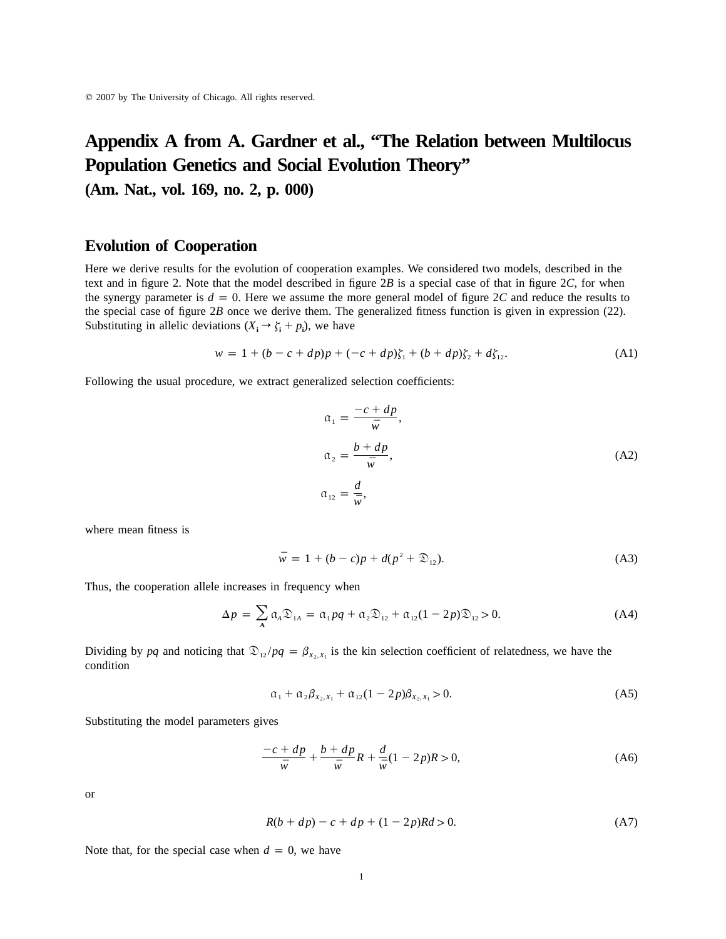# **Appendix A from A. Gardner et al., "The Relation between Multilocus Population Genetics and Social Evolution Theory"**

**(Am. Nat., vol. 169, no. 2, p. 000)**

# **Evolution of Cooperation**

Here we derive results for the evolution of cooperation examples. We considered two models, described in the text and in figure 2. Note that the model described in figure 2*B* is a special case of that in figure 2*C*, for when the synergy parameter is  $d = 0$ . Here we assume the more general model of figure 2C and reduce the results to the special case of figure 2*B* once we derive them. The generalized fitness function is given in expression (22). Substituting in allelic deviations  $(X_i \rightarrow \zeta_i + p_i)$ , we have

$$
w = 1 + (b - c + dp)p + (-c + dp)\zeta_1 + (b + dp)\zeta_2 + d\zeta_{12}.
$$
 (A1)

Following the usual procedure, we extract generalized selection coefficients:

$$
\alpha_1 = \frac{-c + dp}{\bar{w}},
$$
  
\n
$$
\alpha_2 = \frac{b + dp}{\bar{w}},
$$
  
\n
$$
\alpha_{12} = \frac{d}{\bar{w}},
$$
  
\n(A2)

where mean fitness is

$$
\bar{w} = 1 + (b - c)p + d(p^2 + \mathfrak{D}_{12}).
$$
\n(A3)

Thus, the cooperation allele increases in frequency when

$$
\Delta p = \sum_{\mathbf{A}} \alpha_{\mathbf{A}} \mathfrak{D}_{1\mathbf{A}} = \alpha_1 p q + \alpha_2 \mathfrak{D}_{12} + \alpha_{12} (1 - 2p) \mathfrak{D}_{12} > 0. \tag{A4}
$$

Dividing by pq and noticing that  $\mathcal{D}_{12}/pq = \beta_{X_2, X_1}$  is the kin selection coefficient of relatedness, we have the condition

$$
\alpha_1 + \alpha_2 \beta_{X_2, X_1} + \alpha_{12} (1 - 2p) \beta_{X_2, X_1} > 0. \tag{A5}
$$

Substituting the model parameters gives

$$
\frac{-c+d p}{\bar{w}} + \frac{b+d p}{\bar{w}}R + \frac{d}{\bar{w}}(1-2p)R > 0,
$$
 (A6)

or

$$
R(b + dp) - c + dp + (1 - 2p)Rd > 0.
$$
 (A7)

Note that, for the special case when  $d = 0$ , we have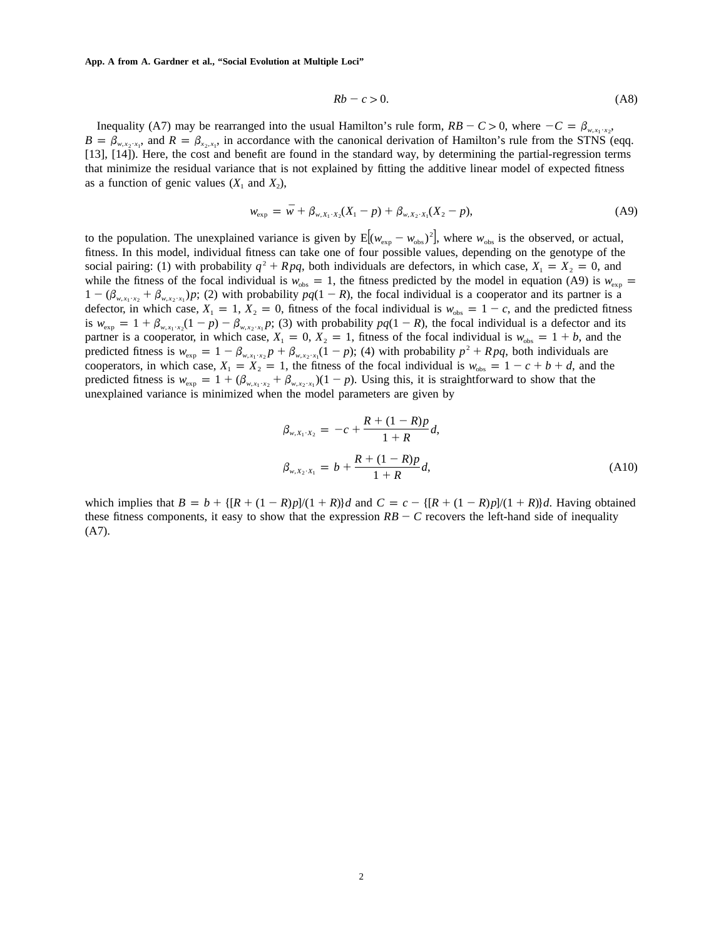**App. A from A. Gardner et al., "Social Evolution at Multiple Loci"**

$$
Rb - c > 0. \tag{A8}
$$

Inequality (A7) may be rearranged into the usual Hamilton's rule form,  $RB - C > 0$ , where  $-C = \beta_{w, x_1 \cdot x_2}$ ,  $B = \beta_{w,x_2,x_1}$ , and  $R = \beta_{x_2,x_1}$ , in accordance with the canonical derivation of Hamilton's rule from the STNS (eqq. [13], [14]). Here, the cost and benefit are found in the standard way, by determining the partial-regression terms that minimize the residual variance that is not explained by fitting the additive linear model of expected fitness as a function of genic values  $(X_1 \text{ and } X_2)$ ,

$$
w_{\exp} = \bar{w} + \beta_{w, X_1 \cdot X_2}(X_1 - p) + \beta_{w, X_2 \cdot X_1}(X_2 - p), \tag{A9}
$$

to the population. The unexplained variance is given by  $E[(w_{exp} - w_{obs})^2]$ , where  $w_{obs}$  is the observed, or actual, fitness. In this model, individual fitness can take one of four possible values, depending on the genotype of the social pairing: (1) with probability  $q^2 + Rpq$ , both individuals are defectors, in which case,  $X_1 = X_2 = 0$ , and while the fitness of the focal individual is  $w_{obs} = 1$ , the fitness predicted by the model in equation (A9) is  $w_{exp}$  =  $1 - (\beta_{w,x_1,x_2} + \beta_{w,x_2,x_1})p$ ; (2) with probability  $pq(1 - R)$ , the focal individual is a cooperator and its partner is a defector, in which case,  $X_1 = 1$ ,  $X_2 = 0$ , fitness of the focal individual is  $w_{obs} = 1 - c$ , and the predicted fitness is  $w_{\exp} = 1 + \beta_{w, x_1 \cdot x_2} (1 - p) - \beta_{w, x_2 \cdot x_1} p$ ; (3) with probability  $pq(1 - R)$ , the focal individual is a defector and its partner is a cooperator, in which case,  $X_1 = 0$ ,  $X_2 = 1$ , fitness of the focal individual is  $w_{obs} = 1 + b$ , and the predicted fitness is  $w_{\text{exp}} = 1 - \beta_{w, x_1 \cdot x_2} p + \beta_{w, x_2 \cdot x_1} (1 - p)$ ; (4) with probability  $p^2 + Rpq$ , both individuals are cooperators, in which case,  $X_1 = X_2 = 1$ , the fitness of the focal individual is  $w_{obs} = 1 - c + b + d$ , and the predicted fitness is  $w_{exp} = 1 + (\beta_{w,x_1 \cdot x_2} + \beta_{w,x_2 \cdot x_1})(1 - p)$ . Using this, it is straightforward to show that the unexplained variance is minimized when the model parameters are given by

$$
\beta_{w,X_1\cdot X_2} = -c + \frac{R + (1 - R)p}{1 + R}d,
$$
\n
$$
\beta_{w,X_2\cdot X_1} = b + \frac{R + (1 - R)p}{1 + R}d,
$$
\n(A10)

which implies that  $B = b + \{[R + (1 - R)p]/(1 + R)\}d$  and  $C = c - \{[R + (1 - R)p]/(1 + R)\}d$ . Having obtained these fitness components, it easy to show that the expression  $RB - C$  recovers the left-hand side of inequality (A7).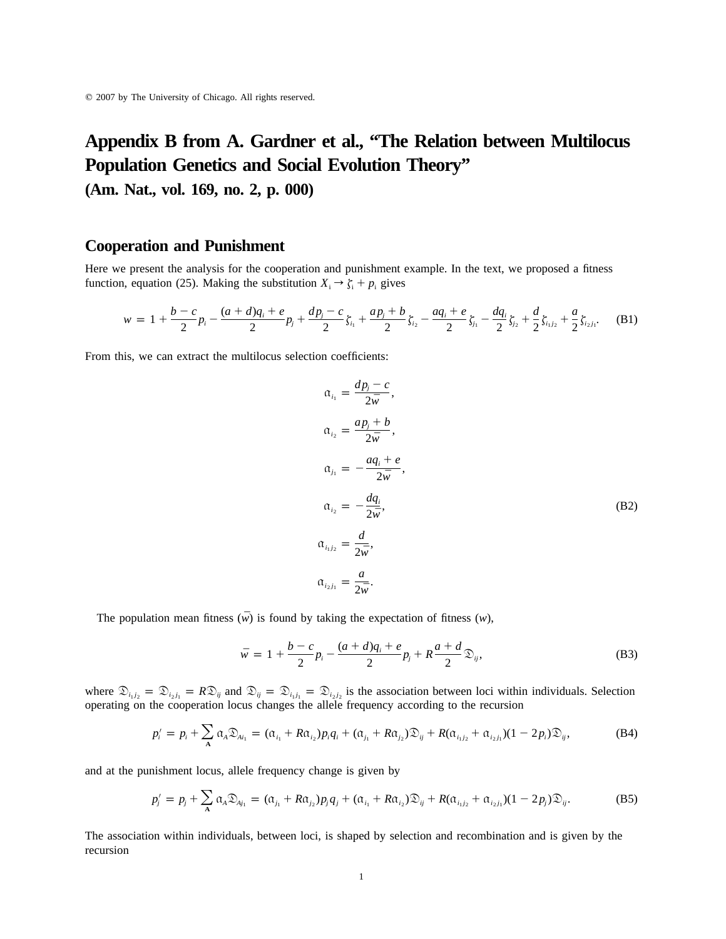# **Appendix B from A. Gardner et al., "The Relation between Multilocus Population Genetics and Social Evolution Theory"**

**(Am. Nat., vol. 169, no. 2, p. 000)**

# **Cooperation and Punishment**

Here we present the analysis for the cooperation and punishment example. In the text, we proposed a fitness function, equation (25). Making the substitution  $X_i \rightarrow \zeta_i + p_i$  gives

$$
w = 1 + \frac{b-c}{2}p_i - \frac{(a+d)q_i + e}{2}p_j + \frac{dp_j - c}{2}\zeta_{i_1} + \frac{ap_j + b}{2}\zeta_{i_2} - \frac{aq_i + e}{2}\zeta_{i_1} - \frac{dq_i}{2}\zeta_{i_2} + \frac{d}{2}\zeta_{i_1} + \frac{a}{2}\zeta_{i_2}.
$$
 (B1)

From this, we can extract the multilocus selection coefficients:

$$
\alpha_{i_1} = \frac{dp_j - c}{2\bar{w}},
$$
\n
$$
\alpha_{i_2} = \frac{ap_j + b}{2\bar{w}},
$$
\n
$$
\alpha_{j_1} = -\frac{aq_i + e}{2\bar{w}},
$$
\n
$$
\alpha_{i_2} = -\frac{dq_i}{2\bar{w}},
$$
\n
$$
\alpha_{i_1j_2} = \frac{d}{2\bar{w}},
$$
\n
$$
\alpha_{i_2j_1} = \frac{a}{2\bar{w}}.
$$
\n(B2)

The population mean fitness  $(\bar{w})$  is found by taking the expectation of fitness  $(w)$ ,

$$
\bar{w} = 1 + \frac{b - c}{2} p_i - \frac{(a + d)q_i + e}{2} p_j + R \frac{a + d}{2} \mathfrak{D}_{ij},
$$
\n(B3)

where  $\mathfrak{D}_{i_1j_2} = \mathfrak{D}_{i_2j_1} = R \mathfrak{D}_{ij}$  and  $\mathfrak{D}_{ij} = \mathfrak{D}_{i_1j_1} = \mathfrak{D}_{i_2j_2}$  is the association between loci within individuals. Selection operating on the cooperation locus changes the allele frequency according to the recursion

$$
p'_{i} = p_{i} + \sum_{A} \alpha_{A} \mathfrak{D}_{Ai_{1}} = (\alpha_{i_{1}} + R\alpha_{i_{2}})p_{i}q_{i} + (\alpha_{j_{1}} + R\alpha_{j_{2}}) \mathfrak{D}_{ij} + R(\alpha_{i_{1}j_{2}} + \alpha_{i_{2}j_{1}})(1 - 2p_{i}) \mathfrak{D}_{ij},
$$
(B4)

and at the punishment locus, allele frequency change is given by

$$
p'_{j} = p_{j} + \sum_{A} \alpha_{A} \mathfrak{D}_{A j_{1}} = (\alpha_{j_{1}} + R \alpha_{j_{2}}) p_{j} q_{j} + (\alpha_{i_{1}} + R \alpha_{i_{2}}) \mathfrak{D}_{i j} + R (\alpha_{i_{1} j_{2}} + \alpha_{i_{2} j_{1}}) (1 - 2 p_{j}) \mathfrak{D}_{i j}.
$$
 (B5)

The association within individuals, between loci, is shaped by selection and recombination and is given by the recursion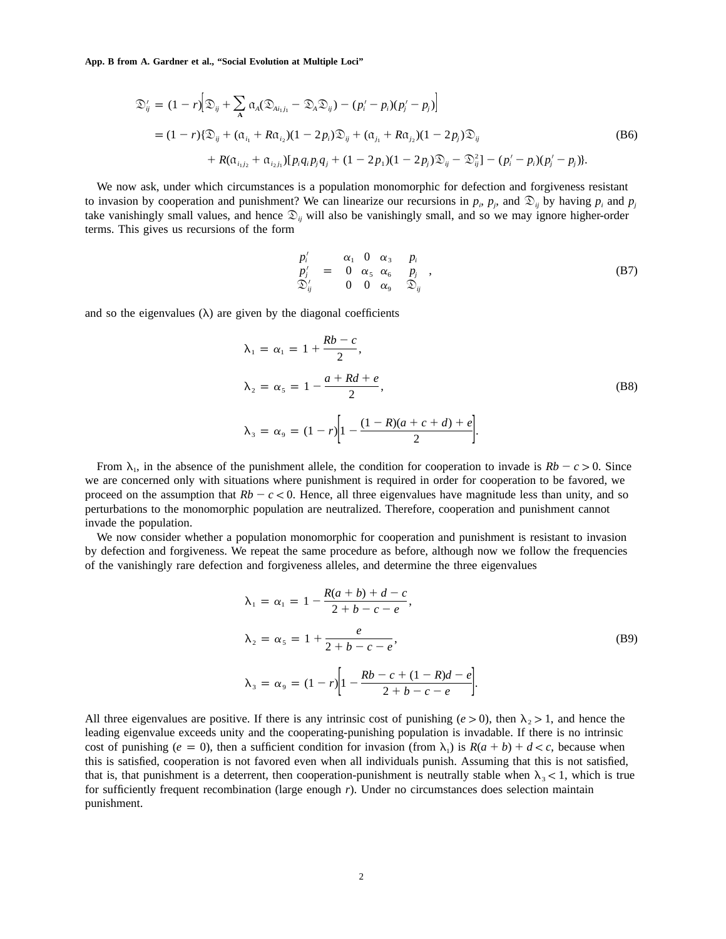**App. B from A. Gardner et al., "Social Evolution at Multiple Loci"**

$$
\mathfrak{D}'_{ij} = (1-r)\Big[\mathfrak{D}_{ij} + \sum_{\mathbf{A}} \alpha_{A} (\mathfrak{D}_{Ai_{1}j_{1}} - \mathfrak{D}_{A} \mathfrak{D}_{ij}) - (p'_{i} - p_{i})(p'_{j} - p_{j})\Big]
$$
  
\n=  $(1-r)\{\mathfrak{D}_{ij} + (\alpha_{i_{1}} + R\alpha_{i_{2}})(1 - 2p_{i})\mathfrak{D}_{ij} + (\alpha_{j_{1}} + R\alpha_{j_{2}})(1 - 2p_{j})\mathfrak{D}_{ij}$  (B6)  
\n+  $R(\alpha_{i_{1}j_{2}} + \alpha_{i_{2}j_{1}})[p_{i}q_{i}p_{j}q_{j} + (1 - 2p_{1})(1 - 2p_{j})\mathfrak{D}_{ij} - \mathfrak{D}^{2}_{ij}] - (p'_{i} - p_{i})(p'_{j} - p_{j})\}.$ 

We now ask, under which circumstances is a population monomorphic for defection and forgiveness resistant to invasion by cooperation and punishment? We can linearize our recursions in  $p_i$ ,  $p_j$ , and  $\mathfrak{D}_{ij}$  by having  $p_i$  and  $p_j$ take vanishingly small values, and hence  $\mathfrak{D}_y$  will also be vanishingly small, and so we may ignore higher-order terms. This gives us recursions of the form

$$
\begin{pmatrix} p'_i \\ p'_j \\ \mathfrak{D}'_{ij} \end{pmatrix} = \begin{pmatrix} \alpha_1 & 0 & \alpha_3 \\ 0 & \alpha_5 & \alpha_6 \\ 0 & 0 & \alpha_9 \end{pmatrix} \begin{pmatrix} p_i \\ p_j \\ \mathfrak{D}_{ij} \end{pmatrix},
$$
 (B7)

and so the eigenvalues  $(\lambda)$  are given by the diagonal coefficients

$$
\lambda_1 = \alpha_1 = 1 + \frac{Rb - c}{2},
$$
  
\n
$$
\lambda_2 = \alpha_5 = 1 - \frac{a + Rd + e}{2},
$$
  
\n
$$
\lambda_3 = \alpha_9 = (1 - r) \left[ 1 - \frac{(1 - R)(a + c + d) + e}{2} \right].
$$
\n(B8)

From  $\lambda_1$ , in the absence of the punishment allele, the condition for cooperation to invade is  $Rb - c > 0$ . Since we are concerned only with situations where punishment is required in order for cooperation to be favored, we proceed on the assumption that  $Rb - c < 0$ . Hence, all three eigenvalues have magnitude less than unity, and so perturbations to the monomorphic population are neutralized. Therefore, cooperation and punishment cannot invade the population.

We now consider whether a population monomorphic for cooperation and punishment is resistant to invasion by defection and forgiveness. We repeat the same procedure as before, although now we follow the frequencies of the vanishingly rare defection and forgiveness alleles, and determine the three eigenvalues

$$
\lambda_1 = \alpha_1 = 1 - \frac{R(a+b) + d - c}{2 + b - c - e},
$$
\n
$$
\lambda_2 = \alpha_5 = 1 + \frac{e}{2 + b - c - e},
$$
\n
$$
\lambda_3 = \alpha_9 = (1 - r) \left[ 1 - \frac{Rb - c + (1 - R)d - e}{2 + b - c - e} \right].
$$
\n(B9)

All three eigenvalues are positive. If there is any intrinsic cost of punishing ( $e > 0$ ), then  $\lambda$ ,  $> 1$ , and hence the leading eigenvalue exceeds unity and the cooperating-punishing population is invadable. If there is no intrinsic cost of punishing ( $e = 0$ ), then a sufficient condition for invasion (from  $\lambda_1$ ) is  $R(a + b) + d < c$ , because when this is satisfied, cooperation is not favored even when all individuals punish. Assuming that this is not satisfied, that is, that punishment is a deterrent, then cooperation-punishment is neutrally stable when  $\lambda_3 < 1$ , which is true for sufficiently frequent recombination (large enough *r*). Under no circumstances does selection maintain punishment.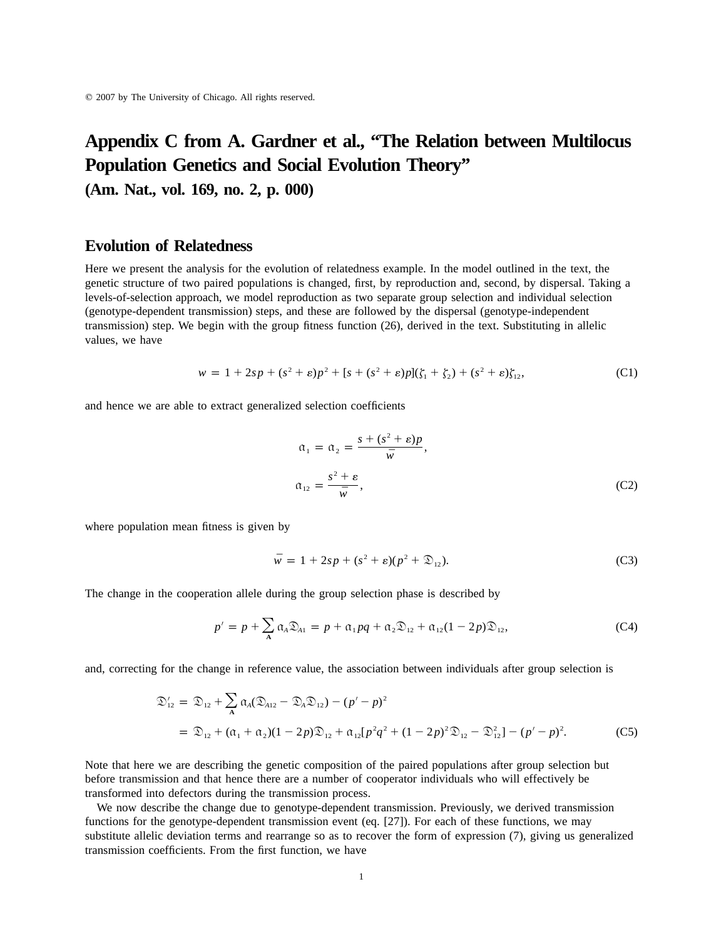# **Appendix C from A. Gardner et al., "The Relation between Multilocus Population Genetics and Social Evolution Theory"**

**(Am. Nat., vol. 169, no. 2, p. 000)**

# **Evolution of Relatedness**

Here we present the analysis for the evolution of relatedness example. In the model outlined in the text, the genetic structure of two paired populations is changed, first, by reproduction and, second, by dispersal. Taking a levels-of-selection approach, we model reproduction as two separate group selection and individual selection (genotype-dependent transmission) steps, and these are followed by the dispersal (genotype-independent transmission) step. We begin with the group fitness function (26), derived in the text. Substituting in allelic values, we have

$$
w = 1 + 2sp + (s2 + \varepsilon)p2 + [s + (s2 + \varepsilon)p](\zeta1 + \zeta2) + (s2 + \varepsilon)\zeta12,
$$
 (C1)

and hence we are able to extract generalized selection coefficients

$$
\alpha_1 = \alpha_2 = \frac{s + (s^2 + \varepsilon)p}{\bar{w}},
$$
  

$$
\alpha_{12} = \frac{s^2 + \varepsilon}{\bar{w}},
$$
 (C2)

where population mean fitness is given by

$$
\bar{w} = 1 + 2sp + (s^2 + \varepsilon)(p^2 + \mathfrak{D}_{12}).
$$
 (C3)

The change in the cooperation allele during the group selection phase is described by

$$
p' = p + \sum_{\mathbf{A}} \alpha_{\mathbf{A}} \mathfrak{D}_{\mathbf{A}1} = p + \alpha_1 pq + \alpha_2 \mathfrak{D}_{12} + \alpha_{12} (1 - 2p) \mathfrak{D}_{12},
$$
 (C4)

and, correcting for the change in reference value, the association between individuals after group selection is

$$
\mathfrak{D}'_{12} = \mathfrak{D}_{12} + \sum_{A} \alpha_{A} (\mathfrak{D}_{A12} - \mathfrak{D}_{A} \mathfrak{D}_{12}) - (p' - p)^2
$$
  
=  $\mathfrak{D}_{12} + (\alpha_1 + \alpha_2)(1 - 2p)\mathfrak{D}_{12} + \alpha_{12}[p^2q^2 + (1 - 2p)^2 \mathfrak{D}_{12} - \mathfrak{D}_{12}^2] - (p' - p)^2.$  (C5)

Note that here we are describing the genetic composition of the paired populations after group selection but before transmission and that hence there are a number of cooperator individuals who will effectively be transformed into defectors during the transmission process.

We now describe the change due to genotype-dependent transmission. Previously, we derived transmission functions for the genotype-dependent transmission event (eq. [27]). For each of these functions, we may substitute allelic deviation terms and rearrange so as to recover the form of expression (7), giving us generalized transmission coefficients. From the first function, we have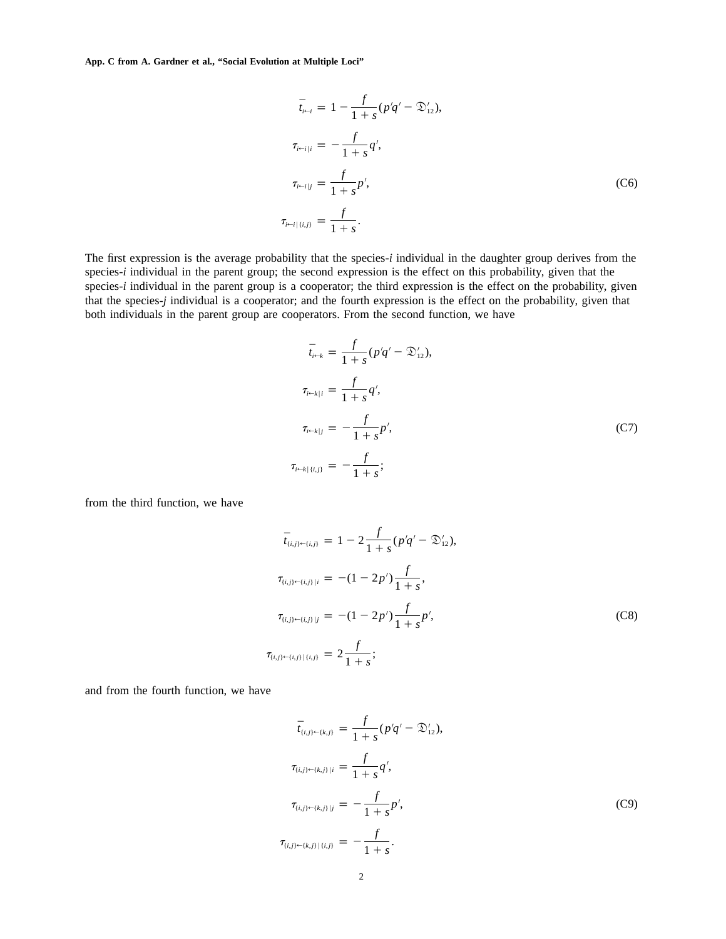**App. C from A. Gardner et al., "Social Evolution at Multiple Loci"**

$$
\bar{t}_{i \leftarrow i} = 1 - \frac{f}{1 + s} (p'q' - \mathcal{D}'_{12}),
$$
\n
$$
\tau_{i \leftarrow i|i} = -\frac{f}{1 + s} q',
$$
\n
$$
\tau_{i \leftarrow i|j} = \frac{f}{1 + s} p',
$$
\n(C6)\n
$$
\tau_{i \leftarrow i|i,j} = \frac{f}{1 + s}.
$$

The first expression is the average probability that the species-*i* individual in the daughter group derives from the species-*i* individual in the parent group; the second expression is the effect on this probability, given that the species-*i* individual in the parent group is a cooperator; the third expression is the effect on the probability, given that the species-*j* individual is a cooperator; and the fourth expression is the effect on the probability, given that both individuals in the parent group are cooperators. From the second function, we have

$$
\bar{t}_{i+k} = \frac{f}{1+s}(p'q' - \mathcal{D}'_{12}),
$$
\n
$$
\tau_{i+k|i} = \frac{f}{1+s}q',
$$
\n
$$
\tau_{i+k|j} = -\frac{f}{1+s}p',
$$
\n
$$
\tau_{i+k|i,j} = -\frac{f}{1+s};
$$
\n(C7)

from the third function, we have

$$
\bar{t}_{(i,j)\leftarrow(i,j)} = 1 - 2 \frac{f}{1+s} (p'q' - \mathcal{D}'_{12}),
$$
\n
$$
\tau_{(i,j)\leftarrow(i,j)}|_{i} = -(1 - 2p') \frac{f}{1+s},
$$
\n
$$
\tau_{(i,j)\leftarrow(i,j)}|_{j} = -(1 - 2p') \frac{f}{1+s} p',
$$
\n(C8)\n
$$
\tau_{(i,j)\leftarrow(i,j)}|_{(i,j)} = 2 \frac{f}{1+s};
$$

and from the fourth function, we have

$$
\bar{t}_{(i,j)\leftarrow(k,j)} = \frac{f}{1+s}(p'q' - \mathcal{D}'_{12}),
$$
\n
$$
\tau_{(i,j)\leftarrow(k,j)|i} = \frac{f}{1+s}q',
$$
\n
$$
\tau_{(i,j)\leftarrow(k,j)|j} = -\frac{f}{1+s}p',
$$
\n(C9)\n
$$
\tau_{(i,j)\leftarrow(k,j)|\{i,j\}} = -\frac{f}{1+s}.
$$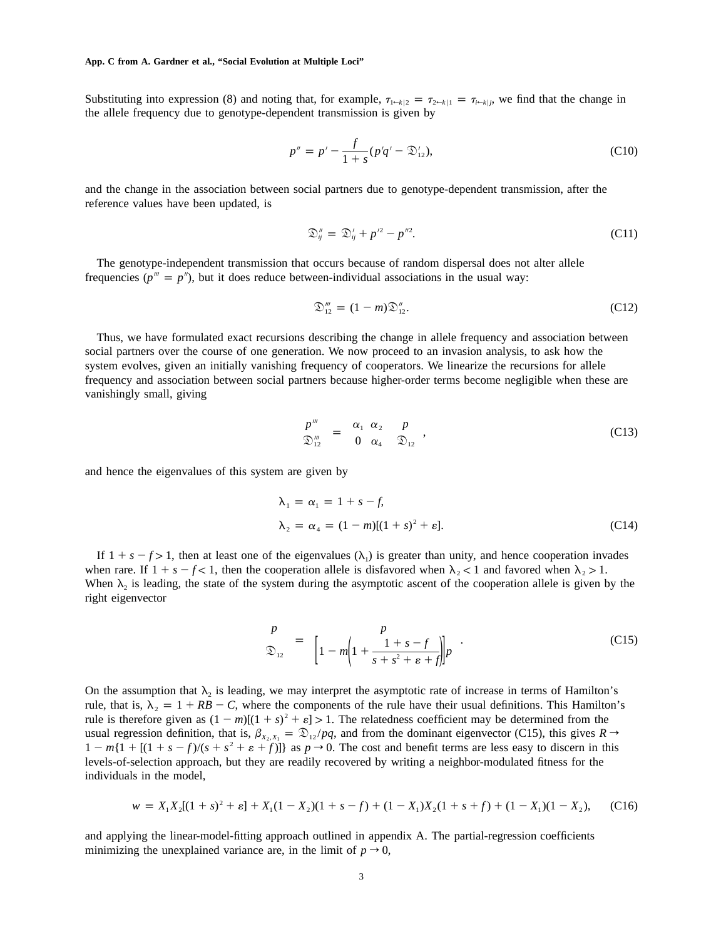**App. C from A. Gardner et al., "Social Evolution at Multiple Loci"**

Substituting into expression (8) and noting that, for example,  $\tau_{1\leftarrow k|2} = \tau_{2\leftarrow k|1} = \tau_{i\leftarrow k|j}$ , we find that the change in the allele frequency due to genotype-dependent transmission is given by

$$
p'' = p' - \frac{f}{1+s}(p'q' - \mathcal{D}'_{12}),
$$
\n(C10)

and the change in the association between social partners due to genotype-dependent transmission, after the reference values have been updated, is

$$
\mathfrak{D}_{ij}'' = \mathfrak{D}_{ij}' + p'^2 - p''^2. \tag{C11}
$$

The genotype-independent transmission that occurs because of random dispersal does not alter allele frequencies ( $p^m = p^n$ ), but it does reduce between-individual associations in the usual way:

$$
\mathfrak{D}_{12}''' = (1 - m)\mathfrak{D}_{12}''.
$$
 (C12)

Thus, we have formulated exact recursions describing the change in allele frequency and association between social partners over the course of one generation. We now proceed to an invasion analysis, to ask how the system evolves, given an initially vanishing frequency of cooperators. We linearize the recursions for allele frequency and association between social partners because higher-order terms become negligible when these are vanishingly small, giving

$$
\begin{pmatrix} p'' \\ \mathfrak{D}_{12}'' \end{pmatrix} = \begin{pmatrix} \alpha_1 & \alpha_2 \\ 0 & \alpha_4 \end{pmatrix} \begin{pmatrix} p \\ \mathfrak{D}_{12} \end{pmatrix},\tag{C13}
$$

and hence the eigenvalues of this system are given by

$$
\lambda_1 = \alpha_1 = 1 + s - f,
$$
  
\n
$$
\lambda_2 = \alpha_4 = (1 - m)[(1 + s)^2 + \varepsilon].
$$
\n(C14)

If  $1 + s - f > 1$ , then at least one of the eigenvalues  $(\lambda_1)$  is greater than unity, and hence cooperation invades when rare. If  $1 + s - f < 1$ , then the cooperation allele is disfavored when  $\lambda_2 < 1$  and favored when  $\lambda_2 > 1$ . When  $\lambda_2$  is leading, the state of the system during the asymptotic ascent of the cooperation allele is given by the right eigenvector

$$
\begin{pmatrix} p \\ \mathcal{D}_{12} \end{pmatrix} = \begin{pmatrix} p \\ 1 - m \left(1 + \frac{1 + s - f}{s + s^2 + \varepsilon + f} \right) \end{pmatrix} p \tag{C15}
$$

On the assumption that  $\lambda_2$  is leading, we may interpret the asymptotic rate of increase in terms of Hamilton's rule, that is,  $\lambda_2 = 1 + RB - C$ , where the components of the rule have their usual definitions. This Hamilton's rule is therefore given as  $(1 - m)[(1 + s)^2 + \varepsilon] > 1$ . The relatedness coefficient may be determined from the usual regression definition, that is,  $\beta_{X_2, X_1} = \mathcal{D}_{12}/pq$ , and from the dominant eigenvector (C15), this gives  $R \rightarrow$  $1 - m\{1 + \left[\frac{(1 + s - f)}{(s + s^2 + \varepsilon + f)}\right]\}$  as  $p \to 0$ . The cost and benefit terms are less easy to discern in this levels-of-selection approach, but they are readily recovered by writing a neighbor-modulated fitness for the individuals in the model,

$$
w = X_1 X_2 [(1 + s)^2 + \varepsilon] + X_1 (1 - X_2)(1 + s - f) + (1 - X_1) X_2 (1 + s + f) + (1 - X_1)(1 - X_2), \tag{C16}
$$

and applying the linear-model-fitting approach outlined in appendix A. The partial-regression coefficients minimizing the unexplained variance are, in the limit of  $p \to 0$ ,